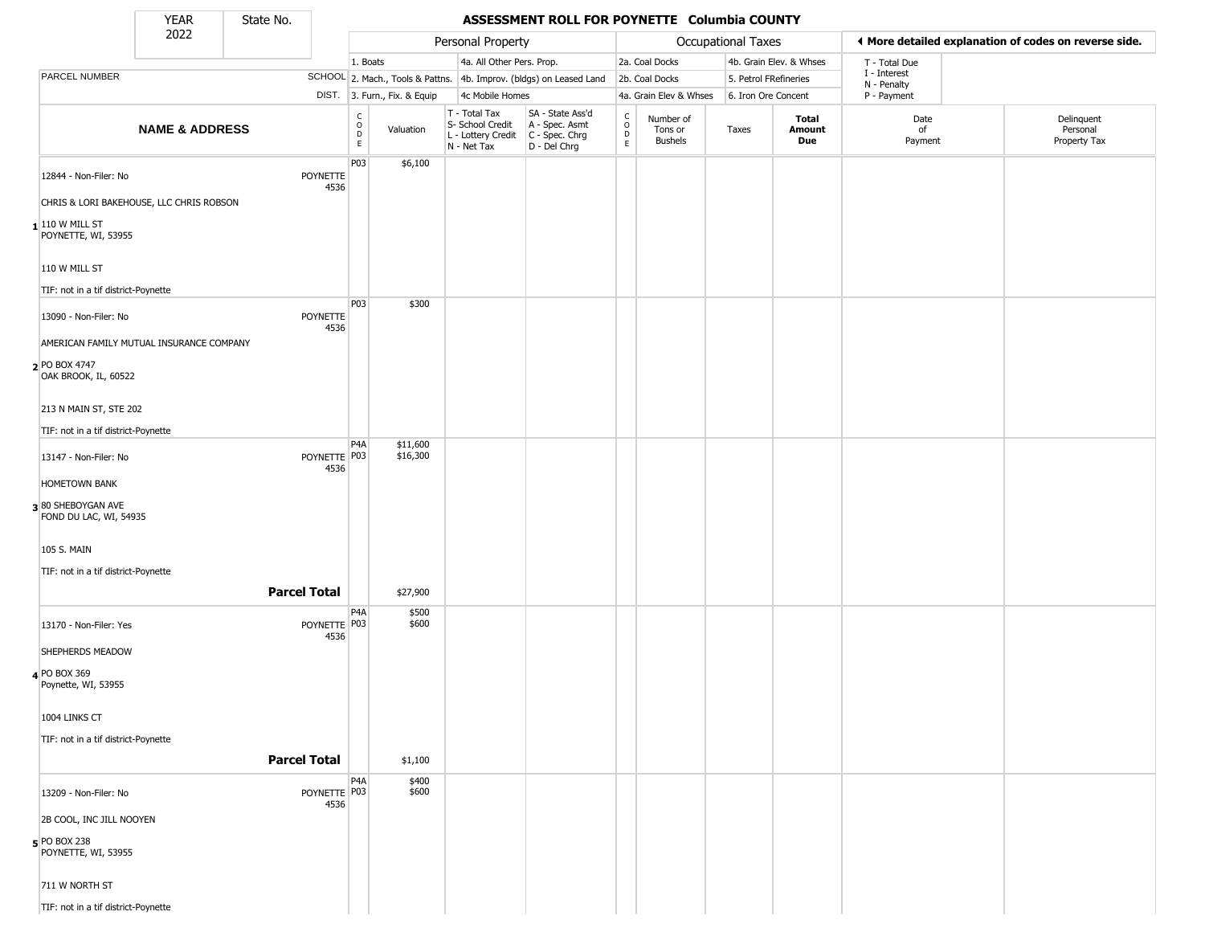State No.

Г

### **YEAR** State No. **ASSESSMENT ROLL FOR POYNETTE Columbia COUNTY**

|                                             | 2022                      |                         |                                    |                              | Personal Property                                                      |                                                                      |                                                 |                                        | <b>Occupational Taxes</b> |                         | ◀ More detailed explanation of codes on reverse side. |                                        |
|---------------------------------------------|---------------------------|-------------------------|------------------------------------|------------------------------|------------------------------------------------------------------------|----------------------------------------------------------------------|-------------------------------------------------|----------------------------------------|---------------------------|-------------------------|-------------------------------------------------------|----------------------------------------|
|                                             |                           |                         | 1. Boats                           |                              | 4a. All Other Pers. Prop.                                              |                                                                      |                                                 | 2a. Coal Docks                         |                           | 4b. Grain Elev. & Whses | T - Total Due                                         |                                        |
| PARCEL NUMBER                               |                           |                         |                                    |                              |                                                                        | SCHOOL 2. Mach., Tools & Pattns. 4b. Improv. (bldgs) on Leased Land  |                                                 | 2b. Coal Docks                         | 5. Petrol FRefineries     |                         | I - Interest<br>N - Penalty                           |                                        |
|                                             |                           |                         |                                    | DIST. 3. Furn., Fix. & Equip | 4c Mobile Homes                                                        |                                                                      |                                                 | 4a. Grain Elev & Whses                 | 6. Iron Ore Concent       |                         | P - Payment                                           |                                        |
|                                             | <b>NAME &amp; ADDRESS</b> |                         | C<br>$\overline{D}$<br>$\mathsf E$ | Valuation                    | T - Total Tax<br>S- School Credit<br>L - Lottery Credit<br>N - Net Tax | SA - State Ass'd<br>A - Spec. Asmt<br>C - Spec. Chrg<br>D - Del Chrg | $\begin{array}{c} C \\ C \\ D \\ E \end{array}$ | Number of<br>Tons or<br><b>Bushels</b> | Taxes                     | Total<br>Amount<br>Due  | Date<br>of<br>Payment                                 | Delinquent<br>Personal<br>Property Tax |
| 12844 - Non-Filer: No                       |                           | <b>POYNETTE</b>         | P03                                | \$6,100                      |                                                                        |                                                                      |                                                 |                                        |                           |                         |                                                       |                                        |
| CHRIS & LORI BAKEHOUSE, LLC CHRIS ROBSON    |                           | 4536                    |                                    |                              |                                                                        |                                                                      |                                                 |                                        |                           |                         |                                                       |                                        |
| $1$ 110 W MILL ST<br>POYNETTE, WI, 53955    |                           |                         |                                    |                              |                                                                        |                                                                      |                                                 |                                        |                           |                         |                                                       |                                        |
| 110 W MILL ST                               |                           |                         |                                    |                              |                                                                        |                                                                      |                                                 |                                        |                           |                         |                                                       |                                        |
| TIF: not in a tif district-Poynette         |                           |                         |                                    |                              |                                                                        |                                                                      |                                                 |                                        |                           |                         |                                                       |                                        |
| 13090 - Non-Filer: No                       |                           | <b>POYNETTE</b><br>4536 | P03                                | \$300                        |                                                                        |                                                                      |                                                 |                                        |                           |                         |                                                       |                                        |
| AMERICAN FAMILY MUTUAL INSURANCE COMPANY    |                           |                         |                                    |                              |                                                                        |                                                                      |                                                 |                                        |                           |                         |                                                       |                                        |
| 2 PO BOX 4747<br>OAK BROOK, IL, 60522       |                           |                         |                                    |                              |                                                                        |                                                                      |                                                 |                                        |                           |                         |                                                       |                                        |
| 213 N MAIN ST, STE 202                      |                           |                         |                                    |                              |                                                                        |                                                                      |                                                 |                                        |                           |                         |                                                       |                                        |
| TIF: not in a tif district-Poynette         |                           |                         |                                    |                              |                                                                        |                                                                      |                                                 |                                        |                           |                         |                                                       |                                        |
| 13147 - Non-Filer: No                       |                           | POYNETTE P03<br>4536    | P4A                                | \$11,600<br>\$16,300         |                                                                        |                                                                      |                                                 |                                        |                           |                         |                                                       |                                        |
| <b>HOMETOWN BANK</b>                        |                           |                         |                                    |                              |                                                                        |                                                                      |                                                 |                                        |                           |                         |                                                       |                                        |
| 380 SHEBOYGAN AVE<br>FOND DU LAC, WI, 54935 |                           |                         |                                    |                              |                                                                        |                                                                      |                                                 |                                        |                           |                         |                                                       |                                        |
| 105 S. MAIN                                 |                           |                         |                                    |                              |                                                                        |                                                                      |                                                 |                                        |                           |                         |                                                       |                                        |
| TIF: not in a tif district-Poynette         |                           |                         |                                    |                              |                                                                        |                                                                      |                                                 |                                        |                           |                         |                                                       |                                        |
|                                             |                           | <b>Parcel Total</b>     |                                    | \$27,900                     |                                                                        |                                                                      |                                                 |                                        |                           |                         |                                                       |                                        |
| 13170 - Non-Filer: Yes                      |                           | POYNETTE P03<br>4536    | P4A                                | \$500<br>\$600               |                                                                        |                                                                      |                                                 |                                        |                           |                         |                                                       |                                        |
| SHEPHERDS MEADOW                            |                           |                         |                                    |                              |                                                                        |                                                                      |                                                 |                                        |                           |                         |                                                       |                                        |
| 4 PO BOX 369<br>Poynette, WI, 53955         |                           |                         |                                    |                              |                                                                        |                                                                      |                                                 |                                        |                           |                         |                                                       |                                        |
| 1004 LINKS CT                               |                           |                         |                                    |                              |                                                                        |                                                                      |                                                 |                                        |                           |                         |                                                       |                                        |
| TIF: not in a tif district-Poynette         |                           | <b>Parcel Total</b>     |                                    | \$1,100                      |                                                                        |                                                                      |                                                 |                                        |                           |                         |                                                       |                                        |
|                                             |                           |                         | P4A                                | \$400                        |                                                                        |                                                                      |                                                 |                                        |                           |                         |                                                       |                                        |
| 13209 - Non-Filer: No                       |                           | POYNETTE P03<br>4536    |                                    | \$600                        |                                                                        |                                                                      |                                                 |                                        |                           |                         |                                                       |                                        |
| 2B COOL, INC JILL NOOYEN                    |                           |                         |                                    |                              |                                                                        |                                                                      |                                                 |                                        |                           |                         |                                                       |                                        |
| <b>5</b> PO BOX 238<br>POYNETTE, WI, 53955  |                           |                         |                                    |                              |                                                                        |                                                                      |                                                 |                                        |                           |                         |                                                       |                                        |
| 711 W NORTH ST                              |                           |                         |                                    |                              |                                                                        |                                                                      |                                                 |                                        |                           |                         |                                                       |                                        |
| TIF: not in a tif district-Poynette         |                           |                         |                                    |                              |                                                                        |                                                                      |                                                 |                                        |                           |                         |                                                       |                                        |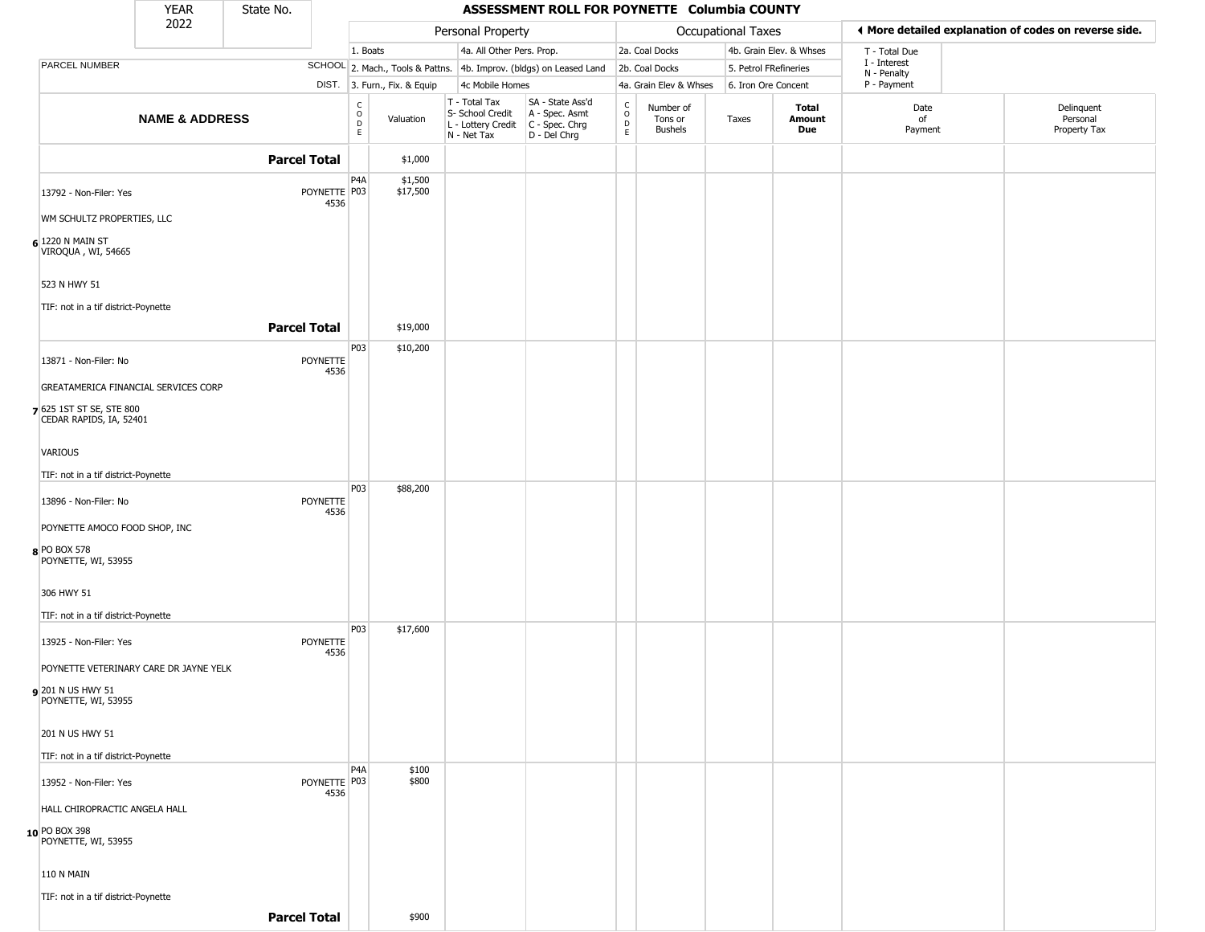|                                                     | <b>YEAR</b>               | State No.           |                      |                                              |                              |                                                                        | ASSESSMENT ROLL FOR POYNETTE Columbia COUNTY                         |                                            |                                        |                       |                         |                             |                                                       |
|-----------------------------------------------------|---------------------------|---------------------|----------------------|----------------------------------------------|------------------------------|------------------------------------------------------------------------|----------------------------------------------------------------------|--------------------------------------------|----------------------------------------|-----------------------|-------------------------|-----------------------------|-------------------------------------------------------|
|                                                     | 2022                      |                     |                      |                                              |                              | Personal Property                                                      |                                                                      |                                            |                                        | Occupational Taxes    |                         |                             | ♦ More detailed explanation of codes on reverse side. |
|                                                     |                           |                     |                      | 1. Boats                                     |                              | 4a. All Other Pers. Prop.                                              |                                                                      |                                            | 2a. Coal Docks                         |                       | 4b. Grain Elev. & Whses | T - Total Due               |                                                       |
| <b>PARCEL NUMBER</b>                                |                           |                     |                      |                                              |                              |                                                                        | SCHOOL 2. Mach., Tools & Pattns. 4b. Improv. (bldgs) on Leased Land  |                                            | 2b. Coal Docks                         | 5. Petrol FRefineries |                         | I - Interest<br>N - Penalty |                                                       |
|                                                     |                           |                     |                      |                                              | DIST. 3. Furn., Fix. & Equip | 4c Mobile Homes                                                        |                                                                      |                                            | 4a. Grain Elev & Whses                 | 6. Iron Ore Concent   |                         | P - Payment                 |                                                       |
|                                                     | <b>NAME &amp; ADDRESS</b> |                     |                      | $\mathsf{C}$<br>$\circ$<br>$\mathsf{D}$<br>E | Valuation                    | T - Total Tax<br>S- School Credit<br>L - Lottery Credit<br>N - Net Tax | SA - State Ass'd<br>A - Spec. Asmt<br>C - Spec. Chrg<br>D - Del Chrg | $\begin{array}{c} C \\ 0 \\ E \end{array}$ | Number of<br>Tons or<br><b>Bushels</b> | Taxes                 | Total<br>Amount<br>Due  | Date<br>of<br>Payment       | Delinquent<br>Personal<br>Property Tax                |
|                                                     |                           | <b>Parcel Total</b> |                      |                                              | \$1,000                      |                                                                        |                                                                      |                                            |                                        |                       |                         |                             |                                                       |
| 13792 - Non-Filer: Yes                              |                           |                     | POYNETTE P03<br>4536 | P <sub>4</sub> A                             | \$1,500<br>\$17,500          |                                                                        |                                                                      |                                            |                                        |                       |                         |                             |                                                       |
| WM SCHULTZ PROPERTIES, LLC                          |                           |                     |                      |                                              |                              |                                                                        |                                                                      |                                            |                                        |                       |                         |                             |                                                       |
| $6$ 1220 N MAIN ST<br>VIROQUA, WI, 54665            |                           |                     |                      |                                              |                              |                                                                        |                                                                      |                                            |                                        |                       |                         |                             |                                                       |
| 523 N HWY 51                                        |                           |                     |                      |                                              |                              |                                                                        |                                                                      |                                            |                                        |                       |                         |                             |                                                       |
| TIF: not in a tif district-Poynette                 |                           |                     |                      |                                              |                              |                                                                        |                                                                      |                                            |                                        |                       |                         |                             |                                                       |
|                                                     |                           | <b>Parcel Total</b> |                      |                                              | \$19,000                     |                                                                        |                                                                      |                                            |                                        |                       |                         |                             |                                                       |
| 13871 - Non-Filer: No                               |                           |                     | POYNETTE<br>4536     | P03                                          | \$10,200                     |                                                                        |                                                                      |                                            |                                        |                       |                         |                             |                                                       |
| GREATAMERICA FINANCIAL SERVICES CORP                |                           |                     |                      |                                              |                              |                                                                        |                                                                      |                                            |                                        |                       |                         |                             |                                                       |
| 7 625 1ST ST SE, STE 800<br>CEDAR RAPIDS, IA, 52401 |                           |                     |                      |                                              |                              |                                                                        |                                                                      |                                            |                                        |                       |                         |                             |                                                       |
| <b>VARIOUS</b>                                      |                           |                     |                      |                                              |                              |                                                                        |                                                                      |                                            |                                        |                       |                         |                             |                                                       |
| TIF: not in a tif district-Poynette                 |                           |                     |                      |                                              |                              |                                                                        |                                                                      |                                            |                                        |                       |                         |                             |                                                       |
| 13896 - Non-Filer: No                               |                           |                     | POYNETTE<br>4536     | P03                                          | \$88,200                     |                                                                        |                                                                      |                                            |                                        |                       |                         |                             |                                                       |
| POYNETTE AMOCO FOOD SHOP, INC                       |                           |                     |                      |                                              |                              |                                                                        |                                                                      |                                            |                                        |                       |                         |                             |                                                       |
| 8 PO BOX 578<br>POYNETTE, WI, 53955                 |                           |                     |                      |                                              |                              |                                                                        |                                                                      |                                            |                                        |                       |                         |                             |                                                       |
| 306 HWY 51                                          |                           |                     |                      |                                              |                              |                                                                        |                                                                      |                                            |                                        |                       |                         |                             |                                                       |
| TIF: not in a tif district-Poynette                 |                           |                     |                      |                                              |                              |                                                                        |                                                                      |                                            |                                        |                       |                         |                             |                                                       |
| 13925 - Non-Filer: Yes                              |                           |                     | POYNETTE<br>4536     | P03                                          | \$17,600                     |                                                                        |                                                                      |                                            |                                        |                       |                         |                             |                                                       |
| POYNETTE VETERINARY CARE DR JAYNE YELK              |                           |                     |                      |                                              |                              |                                                                        |                                                                      |                                            |                                        |                       |                         |                             |                                                       |
| 9 201 N US HWY 51<br>POYNETTE, WI, 53955            |                           |                     |                      |                                              |                              |                                                                        |                                                                      |                                            |                                        |                       |                         |                             |                                                       |
| 201 N US HWY 51                                     |                           |                     |                      |                                              |                              |                                                                        |                                                                      |                                            |                                        |                       |                         |                             |                                                       |
| TIF: not in a tif district-Poynette                 |                           |                     |                      |                                              |                              |                                                                        |                                                                      |                                            |                                        |                       |                         |                             |                                                       |
| 13952 - Non-Filer: Yes                              |                           |                     | POYNETTE P03<br>4536 | P <sub>4</sub> A                             | \$100<br>\$800               |                                                                        |                                                                      |                                            |                                        |                       |                         |                             |                                                       |
| HALL CHIROPRACTIC ANGELA HALL                       |                           |                     |                      |                                              |                              |                                                                        |                                                                      |                                            |                                        |                       |                         |                             |                                                       |
| 10 PO BOX 398<br>POYNETTE, WI, 53955                |                           |                     |                      |                                              |                              |                                                                        |                                                                      |                                            |                                        |                       |                         |                             |                                                       |
| <b>110 N MAIN</b>                                   |                           |                     |                      |                                              |                              |                                                                        |                                                                      |                                            |                                        |                       |                         |                             |                                                       |
| TIF: not in a tif district-Poynette                 |                           |                     |                      |                                              |                              |                                                                        |                                                                      |                                            |                                        |                       |                         |                             |                                                       |
|                                                     |                           | <b>Parcel Total</b> |                      |                                              | \$900                        |                                                                        |                                                                      |                                            |                                        |                       |                         |                             |                                                       |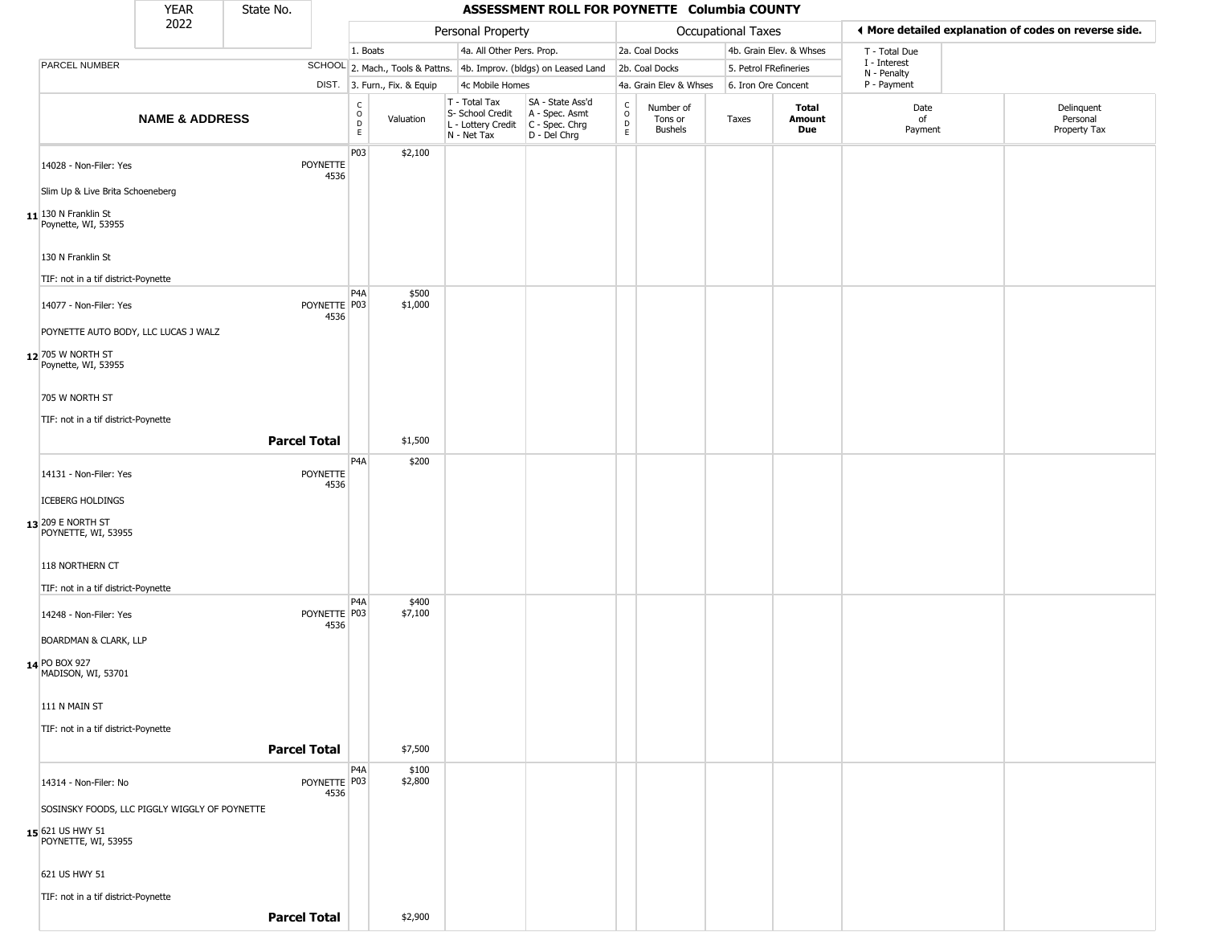|                                                                                          | <b>YEAR</b>               | State No.           |                      |                      |                              |                                                                                         | ASSESSMENT ROLL FOR POYNETTE Columbia COUNTY                        |                            |                                        |                       |                         |                             |                                                       |
|------------------------------------------------------------------------------------------|---------------------------|---------------------|----------------------|----------------------|------------------------------|-----------------------------------------------------------------------------------------|---------------------------------------------------------------------|----------------------------|----------------------------------------|-----------------------|-------------------------|-----------------------------|-------------------------------------------------------|
|                                                                                          | 2022                      |                     |                      |                      |                              | Personal Property                                                                       |                                                                     |                            |                                        | Occupational Taxes    |                         |                             | ♦ More detailed explanation of codes on reverse side. |
|                                                                                          |                           |                     |                      | 1. Boats             |                              | 4a. All Other Pers. Prop.                                                               |                                                                     |                            | 2a. Coal Docks                         |                       | 4b. Grain Elev. & Whses | T - Total Due               |                                                       |
| PARCEL NUMBER                                                                            |                           |                     |                      |                      |                              |                                                                                         | SCHOOL 2. Mach., Tools & Pattns. 4b. Improv. (bldgs) on Leased Land |                            | 2b. Coal Docks                         | 5. Petrol FRefineries |                         | I - Interest<br>N - Penalty |                                                       |
|                                                                                          |                           |                     |                      |                      | DIST. 3. Furn., Fix. & Equip | 4c Mobile Homes                                                                         |                                                                     |                            | 4a. Grain Elev & Whses                 | 6. Iron Ore Concent   |                         | P - Payment                 |                                                       |
|                                                                                          | <b>NAME &amp; ADDRESS</b> |                     |                      | $\rm _o^C$<br>D<br>E | Valuation                    | T - Total Tax<br>S- School Credit<br>L - Lottery Credit   C - Spec. Chrg<br>N - Net Tax | SA - State Ass'd<br>A - Spec. Asmt<br>D - Del Chrg                  | C<br>$\mathsf O$<br>D<br>E | Number of<br>Tons or<br><b>Bushels</b> | Taxes                 | Total<br>Amount<br>Due  | Date<br>of<br>Payment       | Delinquent<br>Personal<br>Property Tax                |
| 14028 - Non-Filer: Yes<br>Slim Up & Live Brita Schoeneberg                               |                           |                     | POYNETTE<br>4536     | P03                  | \$2,100                      |                                                                                         |                                                                     |                            |                                        |                       |                         |                             |                                                       |
| $11$ <sup>130</sup> N Franklin St<br>Poynette, WI, 53955                                 |                           |                     |                      |                      |                              |                                                                                         |                                                                     |                            |                                        |                       |                         |                             |                                                       |
| 130 N Franklin St<br>TIF: not in a tif district-Poynette                                 |                           |                     |                      |                      |                              |                                                                                         |                                                                     |                            |                                        |                       |                         |                             |                                                       |
| 14077 - Non-Filer: Yes<br>POYNETTE AUTO BODY, LLC LUCAS J WALZ                           |                           |                     | POYNETTE P03<br>4536 | P4A                  | \$500<br>\$1,000             |                                                                                         |                                                                     |                            |                                        |                       |                         |                             |                                                       |
| 12 705 W NORTH ST<br>Poynette, WI, 53955                                                 |                           |                     |                      |                      |                              |                                                                                         |                                                                     |                            |                                        |                       |                         |                             |                                                       |
| 705 W NORTH ST<br>TIF: not in a tif district-Poynette                                    |                           |                     |                      |                      |                              |                                                                                         |                                                                     |                            |                                        |                       |                         |                             |                                                       |
|                                                                                          |                           | <b>Parcel Total</b> |                      |                      | \$1,500                      |                                                                                         |                                                                     |                            |                                        |                       |                         |                             |                                                       |
| 14131 - Non-Filer: Yes                                                                   |                           |                     | POYNETTE<br>4536     | P <sub>4</sub> A     | \$200                        |                                                                                         |                                                                     |                            |                                        |                       |                         |                             |                                                       |
| <b>ICEBERG HOLDINGS</b><br>13 209 E NORTH ST<br>POYNETTE, WI, 53955                      |                           |                     |                      |                      |                              |                                                                                         |                                                                     |                            |                                        |                       |                         |                             |                                                       |
| 118 NORTHERN CT<br>TIF: not in a tif district-Poynette                                   |                           |                     |                      |                      |                              |                                                                                         |                                                                     |                            |                                        |                       |                         |                             |                                                       |
| 14248 - Non-Filer: Yes                                                                   |                           |                     | POYNETTE P03<br>4536 | P4A                  | \$400<br>\$7,100             |                                                                                         |                                                                     |                            |                                        |                       |                         |                             |                                                       |
| <b>BOARDMAN &amp; CLARK, LLP</b><br>14 PO BOX 927<br>MADISON, WI, 53701                  |                           |                     |                      |                      |                              |                                                                                         |                                                                     |                            |                                        |                       |                         |                             |                                                       |
| 111 N MAIN ST                                                                            |                           |                     |                      |                      |                              |                                                                                         |                                                                     |                            |                                        |                       |                         |                             |                                                       |
| TIF: not in a tif district-Poynette                                                      |                           | <b>Parcel Total</b> |                      |                      | \$7,500                      |                                                                                         |                                                                     |                            |                                        |                       |                         |                             |                                                       |
| 14314 - Non-Filer: No                                                                    |                           |                     | POYNETTE P03<br>4536 | P <sub>4</sub> A     | \$100<br>\$2,800             |                                                                                         |                                                                     |                            |                                        |                       |                         |                             |                                                       |
| SOSINSKY FOODS, LLC PIGGLY WIGGLY OF POYNETTE<br>15 621 US HWY 51<br>POYNETTE, WI, 53955 |                           |                     |                      |                      |                              |                                                                                         |                                                                     |                            |                                        |                       |                         |                             |                                                       |
| 621 US HWY 51                                                                            |                           |                     |                      |                      |                              |                                                                                         |                                                                     |                            |                                        |                       |                         |                             |                                                       |
| TIF: not in a tif district-Poynette                                                      |                           | <b>Parcel Total</b> |                      |                      | \$2,900                      |                                                                                         |                                                                     |                            |                                        |                       |                         |                             |                                                       |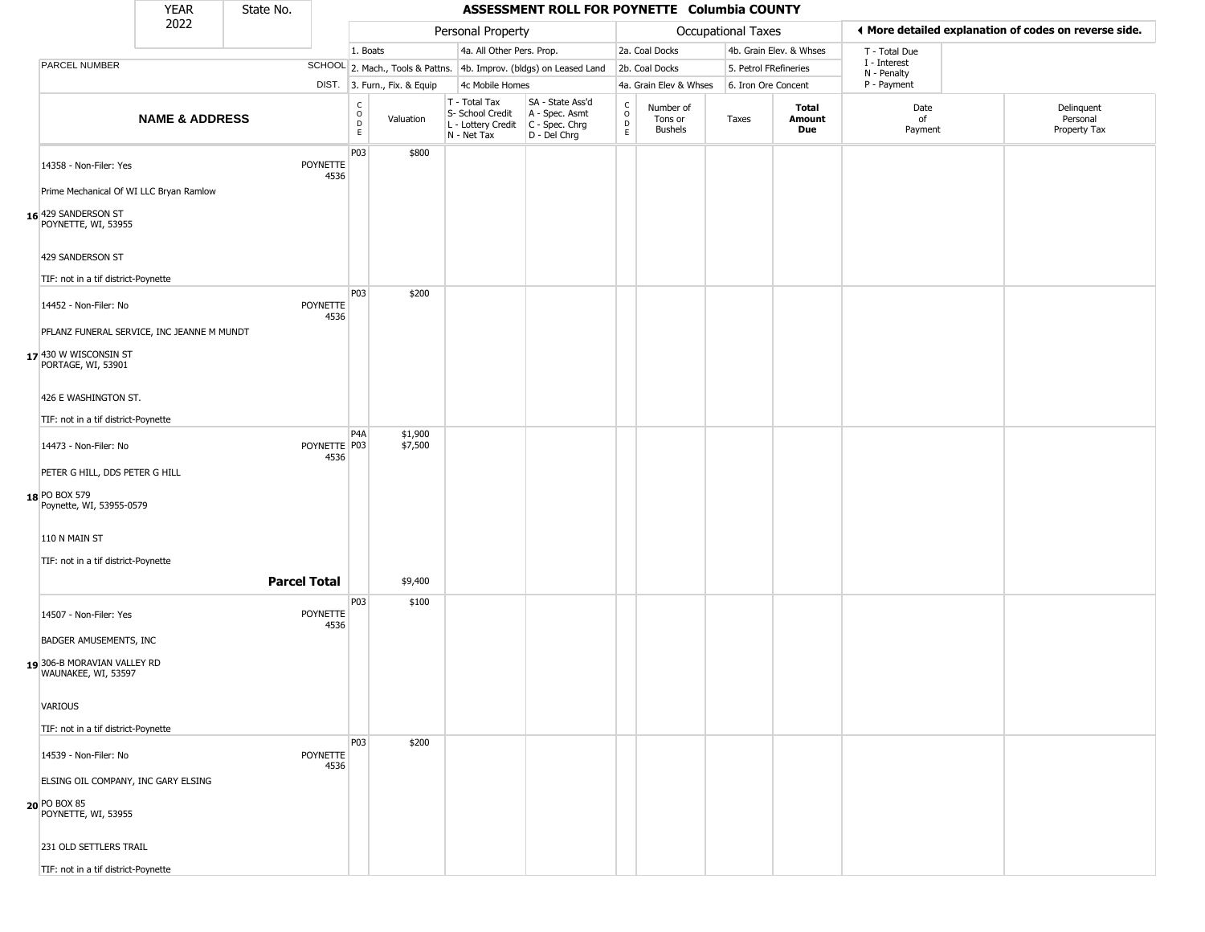|                                                       | <b>YEAR</b>               | State No. |                      |                  |                                  |                                                  | ASSESSMENT ROLL FOR POYNETTE Columbia COUNTY                                              |                              |                                        |                           |                         |                             |                                                       |
|-------------------------------------------------------|---------------------------|-----------|----------------------|------------------|----------------------------------|--------------------------------------------------|-------------------------------------------------------------------------------------------|------------------------------|----------------------------------------|---------------------------|-------------------------|-----------------------------|-------------------------------------------------------|
|                                                       | 2022                      |           |                      |                  |                                  | Personal Property                                |                                                                                           |                              |                                        | <b>Occupational Taxes</b> |                         |                             | ♦ More detailed explanation of codes on reverse side. |
|                                                       |                           |           |                      | 1. Boats         |                                  | 4a. All Other Pers. Prop.                        |                                                                                           |                              | 2a. Coal Docks                         |                           | 4b. Grain Elev. & Whses | T - Total Due               |                                                       |
| PARCEL NUMBER                                         |                           |           |                      |                  | SCHOOL 2. Mach., Tools & Pattns. |                                                  | 4b. Improv. (bldgs) on Leased Land                                                        |                              | 2b. Coal Docks                         | 5. Petrol FRefineries     |                         | I - Interest<br>N - Penalty |                                                       |
|                                                       |                           |           |                      |                  | DIST. 3. Furn., Fix. & Equip     | 4c Mobile Homes                                  |                                                                                           |                              | 4a. Grain Elev & Whses                 | 6. Iron Ore Concent       |                         | P - Payment                 |                                                       |
|                                                       | <b>NAME &amp; ADDRESS</b> |           |                      | C<br>D<br>E<br>E | Valuation                        | T - Total Tax<br>S- School Credit<br>N - Net Tax | SA - State Ass'd<br>A - Spec. Asmt<br>L - Lottery Credit   C - Spec. Chrg<br>D - Del Chrg | $\delta$<br>D<br>$\mathsf E$ | Number of<br>Tons or<br><b>Bushels</b> | Taxes                     | Total<br>Amount<br>Due  | Date<br>of<br>Payment       | Delinquent<br>Personal<br>Property Tax                |
| 14358 - Non-Filer: Yes                                |                           |           | POYNETTE<br>4536     | P03              | \$800                            |                                                  |                                                                                           |                              |                                        |                           |                         |                             |                                                       |
| Prime Mechanical Of WI LLC Bryan Ramlow               |                           |           |                      |                  |                                  |                                                  |                                                                                           |                              |                                        |                           |                         |                             |                                                       |
| 16 <sup>429</sup> SANDERSON ST<br>POYNETTE, WI, 53955 |                           |           |                      |                  |                                  |                                                  |                                                                                           |                              |                                        |                           |                         |                             |                                                       |
| 429 SANDERSON ST                                      |                           |           |                      |                  |                                  |                                                  |                                                                                           |                              |                                        |                           |                         |                             |                                                       |
| TIF: not in a tif district-Poynette                   |                           |           |                      |                  |                                  |                                                  |                                                                                           |                              |                                        |                           |                         |                             |                                                       |
| 14452 - Non-Filer: No                                 |                           |           | POYNETTE<br>4536     | P03              | \$200                            |                                                  |                                                                                           |                              |                                        |                           |                         |                             |                                                       |
| PFLANZ FUNERAL SERVICE, INC JEANNE M MUNDT            |                           |           |                      |                  |                                  |                                                  |                                                                                           |                              |                                        |                           |                         |                             |                                                       |
| 17 430 W WISCONSIN ST<br>PORTAGE, WI, 53901           |                           |           |                      |                  |                                  |                                                  |                                                                                           |                              |                                        |                           |                         |                             |                                                       |
| 426 E WASHINGTON ST.                                  |                           |           |                      |                  |                                  |                                                  |                                                                                           |                              |                                        |                           |                         |                             |                                                       |
| TIF: not in a tif district-Poynette                   |                           |           |                      |                  |                                  |                                                  |                                                                                           |                              |                                        |                           |                         |                             |                                                       |
| 14473 - Non-Filer: No                                 |                           |           | POYNETTE P03<br>4536 | P <sub>4</sub> A | \$1,900<br>\$7,500               |                                                  |                                                                                           |                              |                                        |                           |                         |                             |                                                       |
| PETER G HILL, DDS PETER G HILL                        |                           |           |                      |                  |                                  |                                                  |                                                                                           |                              |                                        |                           |                         |                             |                                                       |
| 18 PO BOX 579<br>Poynette, WI, 53955-0579             |                           |           |                      |                  |                                  |                                                  |                                                                                           |                              |                                        |                           |                         |                             |                                                       |
| 110 N MAIN ST                                         |                           |           |                      |                  |                                  |                                                  |                                                                                           |                              |                                        |                           |                         |                             |                                                       |
| TIF: not in a tif district-Poynette                   |                           |           |                      |                  |                                  |                                                  |                                                                                           |                              |                                        |                           |                         |                             |                                                       |
|                                                       |                           |           | <b>Parcel Total</b>  |                  | \$9,400                          |                                                  |                                                                                           |                              |                                        |                           |                         |                             |                                                       |
|                                                       |                           |           |                      | P03              | \$100                            |                                                  |                                                                                           |                              |                                        |                           |                         |                             |                                                       |
| 14507 - Non-Filer: Yes                                |                           |           | POYNETTE<br>4536     |                  |                                  |                                                  |                                                                                           |                              |                                        |                           |                         |                             |                                                       |
| <b>BADGER AMUSEMENTS, INC</b>                         |                           |           |                      |                  |                                  |                                                  |                                                                                           |                              |                                        |                           |                         |                             |                                                       |
| 19306-B MORAVIAN VALLEY RD<br>WAUNAKEE, WI, 53597     |                           |           |                      |                  |                                  |                                                  |                                                                                           |                              |                                        |                           |                         |                             |                                                       |
| VARIOUS                                               |                           |           |                      |                  |                                  |                                                  |                                                                                           |                              |                                        |                           |                         |                             |                                                       |
| TIF: not in a tif district-Poynette                   |                           |           |                      |                  |                                  |                                                  |                                                                                           |                              |                                        |                           |                         |                             |                                                       |
| 14539 - Non-Filer: No                                 |                           |           | POYNETTE<br>4536     | P03              | \$200                            |                                                  |                                                                                           |                              |                                        |                           |                         |                             |                                                       |
| ELSING OIL COMPANY, INC GARY ELSING                   |                           |           |                      |                  |                                  |                                                  |                                                                                           |                              |                                        |                           |                         |                             |                                                       |
| 20 PO BOX 85<br>POYNETTE, WI, 53955                   |                           |           |                      |                  |                                  |                                                  |                                                                                           |                              |                                        |                           |                         |                             |                                                       |
| 231 OLD SETTLERS TRAIL                                |                           |           |                      |                  |                                  |                                                  |                                                                                           |                              |                                        |                           |                         |                             |                                                       |
| TIF: not in a tif district-Poynette                   |                           |           |                      |                  |                                  |                                                  |                                                                                           |                              |                                        |                           |                         |                             |                                                       |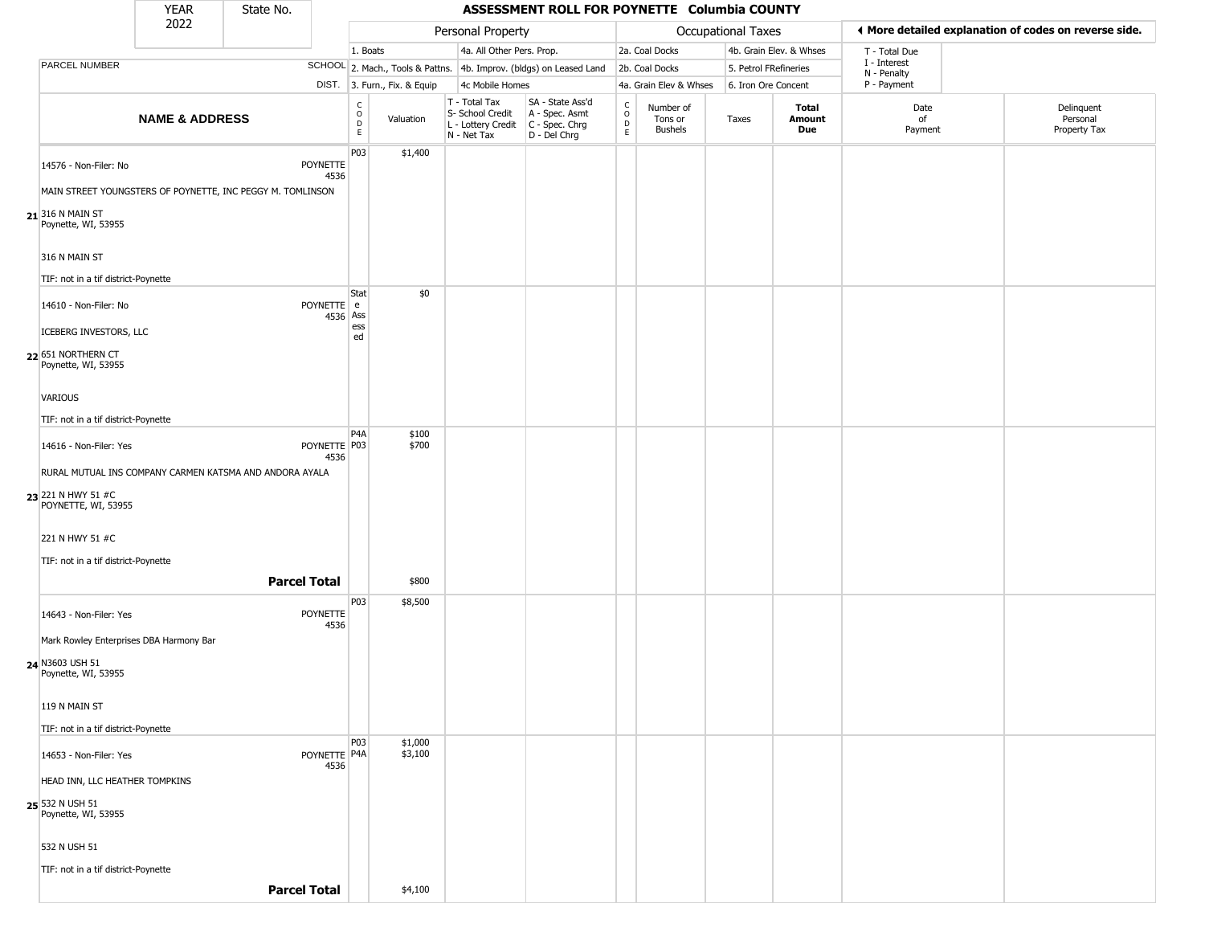|                                                      | <b>YEAR</b>                                                | State No.           |                         |                                   |                              |                                                  | ASSESSMENT ROLL FOR POYNETTE Columbia COUNTY                                              |                                   |                                        |                       |                         |                             |                                                       |
|------------------------------------------------------|------------------------------------------------------------|---------------------|-------------------------|-----------------------------------|------------------------------|--------------------------------------------------|-------------------------------------------------------------------------------------------|-----------------------------------|----------------------------------------|-----------------------|-------------------------|-----------------------------|-------------------------------------------------------|
|                                                      | 2022                                                       |                     |                         |                                   |                              | Personal Property                                |                                                                                           |                                   |                                        | Occupational Taxes    |                         |                             | I More detailed explanation of codes on reverse side. |
|                                                      |                                                            |                     |                         | 1. Boats                          |                              |                                                  | 4a. All Other Pers. Prop.                                                                 |                                   | 2a. Coal Docks                         |                       | 4b. Grain Elev. & Whses | T - Total Due               |                                                       |
| PARCEL NUMBER                                        |                                                            |                     |                         |                                   |                              |                                                  | SCHOOL 2. Mach., Tools & Pattns. 4b. Improv. (bldgs) on Leased Land                       |                                   | 2b. Coal Docks                         | 5. Petrol FRefineries |                         | I - Interest<br>N - Penalty |                                                       |
|                                                      |                                                            |                     |                         |                                   | DIST. 3. Furn., Fix. & Equip | 4c Mobile Homes                                  |                                                                                           |                                   | 4a. Grain Elev & Whses                 | 6. Iron Ore Concent   |                         | P - Payment                 |                                                       |
|                                                      | <b>NAME &amp; ADDRESS</b>                                  |                     |                         | $\frac{c}{0}$<br>$\mathsf D$<br>E | Valuation                    | T - Total Tax<br>S- School Credit<br>N - Net Tax | SA - State Ass'd<br>A - Spec. Asmt<br>L - Lottery Credit   C - Spec. Chrg<br>D - Del Chrg | C<br>$\circ$<br>$\mathsf{D}$<br>E | Number of<br>Tons or<br><b>Bushels</b> | Taxes                 | Total<br>Amount<br>Due  | Date<br>of<br>Payment       | Delinquent<br>Personal<br>Property Tax                |
| 14576 - Non-Filer: No                                |                                                            |                     | <b>POYNETTE</b><br>4536 | P03                               | \$1,400                      |                                                  |                                                                                           |                                   |                                        |                       |                         |                             |                                                       |
|                                                      | MAIN STREET YOUNGSTERS OF POYNETTE, INC PEGGY M. TOMLINSON |                     |                         |                                   |                              |                                                  |                                                                                           |                                   |                                        |                       |                         |                             |                                                       |
| $21$ <sup>316</sup> N MAIN ST<br>Poynette, WI, 53955 |                                                            |                     |                         |                                   |                              |                                                  |                                                                                           |                                   |                                        |                       |                         |                             |                                                       |
| 316 N MAIN ST                                        |                                                            |                     |                         |                                   |                              |                                                  |                                                                                           |                                   |                                        |                       |                         |                             |                                                       |
|                                                      | TIF: not in a tif district-Poynette                        |                     |                         |                                   |                              |                                                  |                                                                                           |                                   |                                        |                       |                         |                             |                                                       |
| 14610 - Non-Filer: No                                |                                                            |                     | POYNETTE e<br>4536 Ass  | Stat                              | \$0                          |                                                  |                                                                                           |                                   |                                        |                       |                         |                             |                                                       |
| ICEBERG INVESTORS, LLC                               |                                                            |                     |                         | ess<br>ed                         |                              |                                                  |                                                                                           |                                   |                                        |                       |                         |                             |                                                       |
| 22 651 NORTHERN CT<br>Poynette, WI, 53955            |                                                            |                     |                         |                                   |                              |                                                  |                                                                                           |                                   |                                        |                       |                         |                             |                                                       |
| VARIOUS                                              |                                                            |                     |                         |                                   |                              |                                                  |                                                                                           |                                   |                                        |                       |                         |                             |                                                       |
|                                                      | TIF: not in a tif district-Poynette                        |                     |                         |                                   |                              |                                                  |                                                                                           |                                   |                                        |                       |                         |                             |                                                       |
| 14616 - Non-Filer: Yes                               |                                                            |                     | POYNETTE P03<br>4536    | P <sub>4</sub> A                  | \$100<br>\$700               |                                                  |                                                                                           |                                   |                                        |                       |                         |                             |                                                       |
|                                                      | RURAL MUTUAL INS COMPANY CARMEN KATSMA AND ANDORA AYALA    |                     |                         |                                   |                              |                                                  |                                                                                           |                                   |                                        |                       |                         |                             |                                                       |
| 23 221 N HWY 51 #C<br>POYNETTE, WI, 53955            |                                                            |                     |                         |                                   |                              |                                                  |                                                                                           |                                   |                                        |                       |                         |                             |                                                       |
| 221 N HWY 51 #C                                      |                                                            |                     |                         |                                   |                              |                                                  |                                                                                           |                                   |                                        |                       |                         |                             |                                                       |
|                                                      | TIF: not in a tif district-Poynette                        |                     |                         |                                   |                              |                                                  |                                                                                           |                                   |                                        |                       |                         |                             |                                                       |
|                                                      |                                                            | <b>Parcel Total</b> |                         |                                   | \$800                        |                                                  |                                                                                           |                                   |                                        |                       |                         |                             |                                                       |
| 14643 - Non-Filer: Yes                               |                                                            |                     | POYNETTE<br>4536        | P03                               | \$8,500                      |                                                  |                                                                                           |                                   |                                        |                       |                         |                             |                                                       |
|                                                      | Mark Rowley Enterprises DBA Harmony Bar                    |                     |                         |                                   |                              |                                                  |                                                                                           |                                   |                                        |                       |                         |                             |                                                       |
| 24 N3603 USH 51<br>Poynette, WI, 53955               |                                                            |                     |                         |                                   |                              |                                                  |                                                                                           |                                   |                                        |                       |                         |                             |                                                       |
| 119 N MAIN ST                                        |                                                            |                     |                         |                                   |                              |                                                  |                                                                                           |                                   |                                        |                       |                         |                             |                                                       |
|                                                      | TIF: not in a tif district-Poynette                        |                     |                         |                                   |                              |                                                  |                                                                                           |                                   |                                        |                       |                         |                             |                                                       |
| 14653 - Non-Filer: Yes                               |                                                            |                     | POYNETTE P4A<br>4536    | <b>P03</b>                        | \$1,000<br>\$3,100           |                                                  |                                                                                           |                                   |                                        |                       |                         |                             |                                                       |
|                                                      | HEAD INN, LLC HEATHER TOMPKINS                             |                     |                         |                                   |                              |                                                  |                                                                                           |                                   |                                        |                       |                         |                             |                                                       |
| 25 532 N USH 51<br>Poynette, WI, 53955               |                                                            |                     |                         |                                   |                              |                                                  |                                                                                           |                                   |                                        |                       |                         |                             |                                                       |
| 532 N USH 51                                         |                                                            |                     |                         |                                   |                              |                                                  |                                                                                           |                                   |                                        |                       |                         |                             |                                                       |
|                                                      | TIF: not in a tif district-Poynette                        |                     |                         |                                   |                              |                                                  |                                                                                           |                                   |                                        |                       |                         |                             |                                                       |
|                                                      |                                                            | <b>Parcel Total</b> |                         |                                   | \$4,100                      |                                                  |                                                                                           |                                   |                                        |                       |                         |                             |                                                       |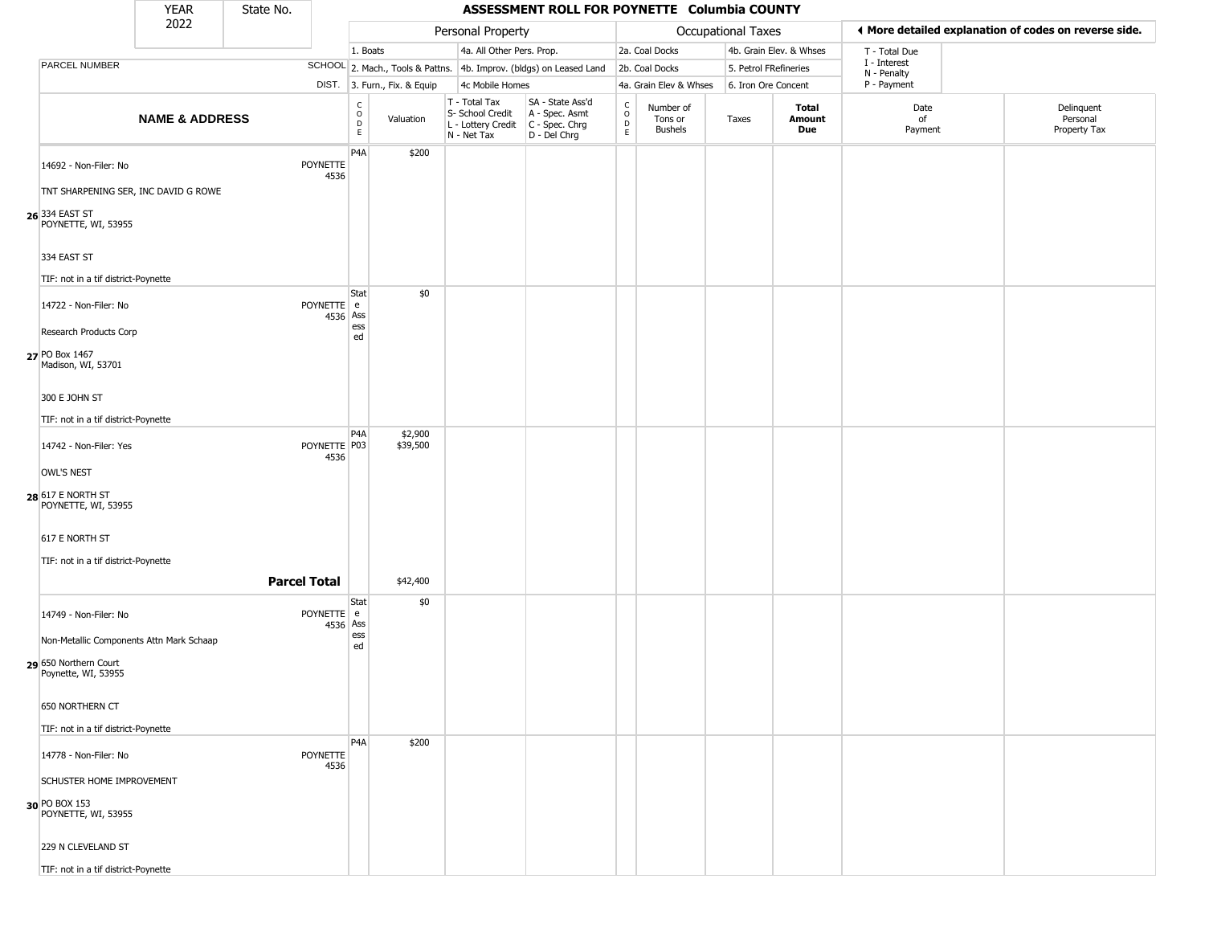|                                                                                       | <b>YEAR</b>               | State No.           |                         |                  |                              |                                                  | ASSESSMENT ROLL FOR POYNETTE Columbia COUNTY                                              |                               |                                        |                           |                         |                             |                                                       |
|---------------------------------------------------------------------------------------|---------------------------|---------------------|-------------------------|------------------|------------------------------|--------------------------------------------------|-------------------------------------------------------------------------------------------|-------------------------------|----------------------------------------|---------------------------|-------------------------|-----------------------------|-------------------------------------------------------|
|                                                                                       | 2022                      |                     |                         |                  |                              | Personal Property                                |                                                                                           |                               |                                        | <b>Occupational Taxes</b> |                         |                             | ◀ More detailed explanation of codes on reverse side. |
|                                                                                       |                           |                     |                         | 1. Boats         |                              | 4a. All Other Pers. Prop.                        |                                                                                           |                               | 2a. Coal Docks                         |                           | 4b. Grain Elev. & Whses | T - Total Due               |                                                       |
| PARCEL NUMBER                                                                         |                           |                     |                         |                  |                              |                                                  | SCHOOL 2. Mach., Tools & Pattns. 4b. Improv. (bldgs) on Leased Land                       |                               | 2b. Coal Docks                         | 5. Petrol FRefineries     |                         | I - Interest<br>N - Penalty |                                                       |
|                                                                                       |                           |                     |                         |                  | DIST. 3. Furn., Fix. & Equip | 4c Mobile Homes                                  |                                                                                           |                               | 4a. Grain Elev & Whses                 | 6. Iron Ore Concent       |                         | P - Payment                 |                                                       |
|                                                                                       | <b>NAME &amp; ADDRESS</b> |                     |                         | C<br>D<br>D<br>E | Valuation                    | T - Total Tax<br>S- School Credit<br>N - Net Tax | SA - State Ass'd<br>A - Spec. Asmt<br>L - Lottery Credit   C - Spec. Chrg<br>D - Del Chrg | $_{\rm o}^{\rm c}$<br>D<br>E. | Number of<br>Tons or<br><b>Bushels</b> | Taxes                     | Total<br>Amount<br>Due  | Date<br>of<br>Payment       | Delinquent<br>Personal<br>Property Tax                |
| 14692 - Non-Filer: No                                                                 |                           |                     | <b>POYNETTE</b><br>4536 | P <sub>4</sub> A | \$200                        |                                                  |                                                                                           |                               |                                        |                           |                         |                             |                                                       |
| TNT SHARPENING SER, INC DAVID G ROWE                                                  |                           |                     |                         |                  |                              |                                                  |                                                                                           |                               |                                        |                           |                         |                             |                                                       |
| 26 334 EAST ST<br>POYNETTE, WI, 53955                                                 |                           |                     |                         |                  |                              |                                                  |                                                                                           |                               |                                        |                           |                         |                             |                                                       |
| 334 EAST ST                                                                           |                           |                     |                         |                  |                              |                                                  |                                                                                           |                               |                                        |                           |                         |                             |                                                       |
| TIF: not in a tif district-Poynette                                                   |                           |                     |                         |                  |                              |                                                  |                                                                                           |                               |                                        |                           |                         |                             |                                                       |
| 14722 - Non-Filer: No                                                                 |                           |                     | POYNETTE e<br>4536 Ass  | Stat<br>ess      | \$0                          |                                                  |                                                                                           |                               |                                        |                           |                         |                             |                                                       |
| Research Products Corp                                                                |                           |                     |                         | ed               |                              |                                                  |                                                                                           |                               |                                        |                           |                         |                             |                                                       |
| 27 PO Box 1467<br>Madison, WI, 53701                                                  |                           |                     |                         |                  |                              |                                                  |                                                                                           |                               |                                        |                           |                         |                             |                                                       |
| 300 E JOHN ST                                                                         |                           |                     |                         |                  |                              |                                                  |                                                                                           |                               |                                        |                           |                         |                             |                                                       |
| TIF: not in a tif district-Poynette                                                   |                           |                     |                         |                  |                              |                                                  |                                                                                           |                               |                                        |                           |                         |                             |                                                       |
| 14742 - Non-Filer: Yes                                                                |                           |                     | POYNETTE P03<br>4536    | P <sub>4</sub> A | \$2,900<br>\$39,500          |                                                  |                                                                                           |                               |                                        |                           |                         |                             |                                                       |
| OWL'S NEST                                                                            |                           |                     |                         |                  |                              |                                                  |                                                                                           |                               |                                        |                           |                         |                             |                                                       |
| 28 617 E NORTH ST<br>POYNETTE, WI, 53955                                              |                           |                     |                         |                  |                              |                                                  |                                                                                           |                               |                                        |                           |                         |                             |                                                       |
| 617 E NORTH ST                                                                        |                           |                     |                         |                  |                              |                                                  |                                                                                           |                               |                                        |                           |                         |                             |                                                       |
| TIF: not in a tif district-Poynette                                                   |                           |                     |                         |                  |                              |                                                  |                                                                                           |                               |                                        |                           |                         |                             |                                                       |
|                                                                                       |                           | <b>Parcel Total</b> |                         |                  | \$42,400                     |                                                  |                                                                                           |                               |                                        |                           |                         |                             |                                                       |
| 14749 - Non-Filer: No                                                                 |                           |                     | POYNETTE e              | Stat             | \$0                          |                                                  |                                                                                           |                               |                                        |                           |                         |                             |                                                       |
|                                                                                       |                           |                     | 4536 Ass                | ess              |                              |                                                  |                                                                                           |                               |                                        |                           |                         |                             |                                                       |
| Non-Metallic Components Attn Mark Schaap<br>550 Northern Court<br>Poynette, WI, 53955 |                           |                     |                         | ed               |                              |                                                  |                                                                                           |                               |                                        |                           |                         |                             |                                                       |
| 650 NORTHERN CT                                                                       |                           |                     |                         |                  |                              |                                                  |                                                                                           |                               |                                        |                           |                         |                             |                                                       |
| TIF: not in a tif district-Poynette                                                   |                           |                     |                         |                  |                              |                                                  |                                                                                           |                               |                                        |                           |                         |                             |                                                       |
| 14778 - Non-Filer: No                                                                 |                           |                     | <b>POYNETTE</b><br>4536 | P <sub>4</sub> A | \$200                        |                                                  |                                                                                           |                               |                                        |                           |                         |                             |                                                       |
| SCHUSTER HOME IMPROVEMENT                                                             |                           |                     |                         |                  |                              |                                                  |                                                                                           |                               |                                        |                           |                         |                             |                                                       |
| 30 PO BOX 153<br>POYNETTE, WI, 53955                                                  |                           |                     |                         |                  |                              |                                                  |                                                                                           |                               |                                        |                           |                         |                             |                                                       |
| 229 N CLEVELAND ST                                                                    |                           |                     |                         |                  |                              |                                                  |                                                                                           |                               |                                        |                           |                         |                             |                                                       |
| TIF: not in a tif district-Poynette                                                   |                           |                     |                         |                  |                              |                                                  |                                                                                           |                               |                                        |                           |                         |                             |                                                       |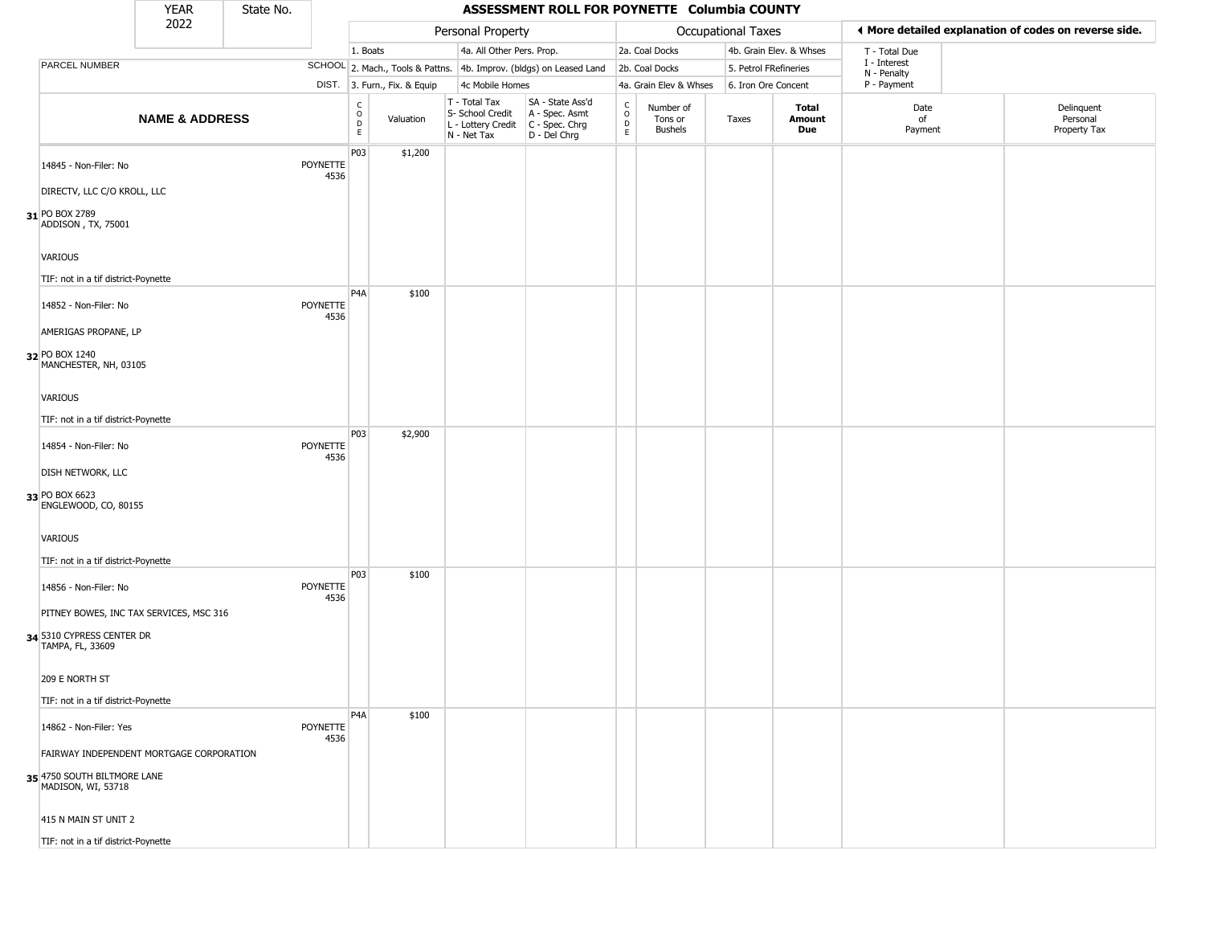|                                                   | <b>YEAR</b>               | State No. |                         |                              |                              |                                                                        | ASSESSMENT ROLL FOR POYNETTE Columbia COUNTY                         |                                  |                                        |                       |                         |                             |                                                       |
|---------------------------------------------------|---------------------------|-----------|-------------------------|------------------------------|------------------------------|------------------------------------------------------------------------|----------------------------------------------------------------------|----------------------------------|----------------------------------------|-----------------------|-------------------------|-----------------------------|-------------------------------------------------------|
|                                                   | 2022                      |           |                         |                              |                              | Personal Property                                                      |                                                                      |                                  |                                        | Occupational Taxes    |                         |                             | ◀ More detailed explanation of codes on reverse side. |
|                                                   |                           |           |                         | 1. Boats                     |                              | 4a. All Other Pers. Prop.                                              |                                                                      |                                  | 2a. Coal Docks                         |                       | 4b. Grain Elev. & Whses | T - Total Due               |                                                       |
| PARCEL NUMBER                                     |                           |           |                         |                              |                              |                                                                        | SCHOOL 2. Mach., Tools & Pattns. 4b. Improv. (bldgs) on Leased Land  |                                  | 2b. Coal Docks                         | 5. Petrol FRefineries |                         | I - Interest<br>N - Penalty |                                                       |
|                                                   |                           |           |                         |                              | DIST. 3. Furn., Fix. & Equip | 4c Mobile Homes                                                        |                                                                      |                                  | 4a. Grain Elev & Whses                 | 6. Iron Ore Concent   |                         | P - Payment                 |                                                       |
|                                                   | <b>NAME &amp; ADDRESS</b> |           |                         | $_{\rm o}^{\rm c}$<br>D<br>E | Valuation                    | T - Total Tax<br>S- School Credit<br>L - Lottery Credit<br>N - Net Tax | SA - State Ass'd<br>A - Spec. Asmt<br>C - Spec. Chrg<br>D - Del Chrg | $\mathsf C$<br>$\circ$<br>D<br>E | Number of<br>Tons or<br><b>Bushels</b> | Taxes                 | Total<br>Amount<br>Due  | Date<br>of<br>Payment       | Delinquent<br>Personal<br>Property Tax                |
| 14845 - Non-Filer: No                             |                           |           | <b>POYNETTE</b><br>4536 | P03                          | \$1,200                      |                                                                        |                                                                      |                                  |                                        |                       |                         |                             |                                                       |
| DIRECTV, LLC C/O KROLL, LLC                       |                           |           |                         |                              |                              |                                                                        |                                                                      |                                  |                                        |                       |                         |                             |                                                       |
| 31 PO BOX 2789<br>ADDISON, TX, 75001              |                           |           |                         |                              |                              |                                                                        |                                                                      |                                  |                                        |                       |                         |                             |                                                       |
| VARIOUS                                           |                           |           |                         |                              |                              |                                                                        |                                                                      |                                  |                                        |                       |                         |                             |                                                       |
| TIF: not in a tif district-Poynette               |                           |           |                         | P <sub>4</sub> A             | \$100                        |                                                                        |                                                                      |                                  |                                        |                       |                         |                             |                                                       |
| 14852 - Non-Filer: No                             |                           |           | POYNETTE<br>4536        |                              |                              |                                                                        |                                                                      |                                  |                                        |                       |                         |                             |                                                       |
| AMERIGAS PROPANE, LP                              |                           |           |                         |                              |                              |                                                                        |                                                                      |                                  |                                        |                       |                         |                             |                                                       |
| 32 PO BOX 1240<br>MANCHESTER, NH, 03105           |                           |           |                         |                              |                              |                                                                        |                                                                      |                                  |                                        |                       |                         |                             |                                                       |
| VARIOUS                                           |                           |           |                         |                              |                              |                                                                        |                                                                      |                                  |                                        |                       |                         |                             |                                                       |
| TIF: not in a tif district-Poynette               |                           |           |                         |                              |                              |                                                                        |                                                                      |                                  |                                        |                       |                         |                             |                                                       |
| 14854 - Non-Filer: No                             |                           |           | POYNETTE<br>4536        | P03                          | \$2,900                      |                                                                        |                                                                      |                                  |                                        |                       |                         |                             |                                                       |
| <b>DISH NETWORK, LLC</b>                          |                           |           |                         |                              |                              |                                                                        |                                                                      |                                  |                                        |                       |                         |                             |                                                       |
| 33 PO BOX 6623<br>ENGLEWOOD, CO, 80155            |                           |           |                         |                              |                              |                                                                        |                                                                      |                                  |                                        |                       |                         |                             |                                                       |
| VARIOUS                                           |                           |           |                         |                              |                              |                                                                        |                                                                      |                                  |                                        |                       |                         |                             |                                                       |
| TIF: not in a tif district-Poynette               |                           |           |                         |                              |                              |                                                                        |                                                                      |                                  |                                        |                       |                         |                             |                                                       |
| 14856 - Non-Filer: No                             |                           |           | <b>POYNETTE</b><br>4536 | P03                          | \$100                        |                                                                        |                                                                      |                                  |                                        |                       |                         |                             |                                                       |
| PITNEY BOWES, INC TAX SERVICES, MSC 316           |                           |           |                         |                              |                              |                                                                        |                                                                      |                                  |                                        |                       |                         |                             |                                                       |
| 34 5310 CYPRESS CENTER DR<br>TAMPA, FL, 33609     |                           |           |                         |                              |                              |                                                                        |                                                                      |                                  |                                        |                       |                         |                             |                                                       |
| 209 E NORTH ST                                    |                           |           |                         |                              |                              |                                                                        |                                                                      |                                  |                                        |                       |                         |                             |                                                       |
| TIF: not in a tif district-Poynette               |                           |           |                         |                              |                              |                                                                        |                                                                      |                                  |                                        |                       |                         |                             |                                                       |
| 14862 - Non-Filer: Yes                            |                           |           | POYNETTE<br>4536        | P <sub>4</sub> A             | \$100                        |                                                                        |                                                                      |                                  |                                        |                       |                         |                             |                                                       |
| FAIRWAY INDEPENDENT MORTGAGE CORPORATION          |                           |           |                         |                              |                              |                                                                        |                                                                      |                                  |                                        |                       |                         |                             |                                                       |
| 35 4750 SOUTH BILTMORE LANE<br>MADISON, WI, 53718 |                           |           |                         |                              |                              |                                                                        |                                                                      |                                  |                                        |                       |                         |                             |                                                       |
| 415 N MAIN ST UNIT 2                              |                           |           |                         |                              |                              |                                                                        |                                                                      |                                  |                                        |                       |                         |                             |                                                       |
| TIF: not in a tif district-Poynette               |                           |           |                         |                              |                              |                                                                        |                                                                      |                                  |                                        |                       |                         |                             |                                                       |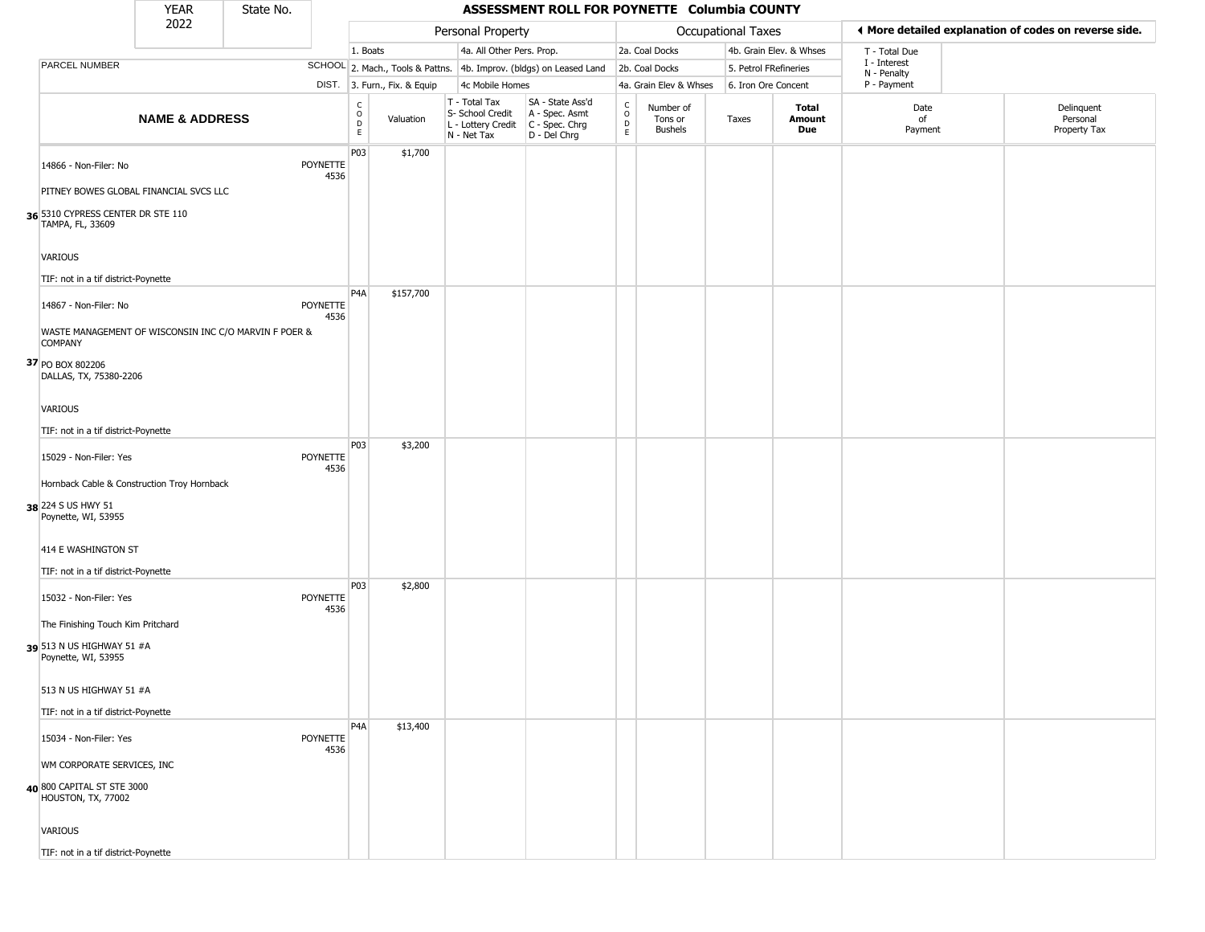|                                                                                                 | <b>YEAR</b>               | State No. |                         |                                     |                        |                                                                        | ASSESSMENT ROLL FOR POYNETTE Columbia COUNTY                         |                                                 |                                        |                     |                               |                             |                                                       |
|-------------------------------------------------------------------------------------------------|---------------------------|-----------|-------------------------|-------------------------------------|------------------------|------------------------------------------------------------------------|----------------------------------------------------------------------|-------------------------------------------------|----------------------------------------|---------------------|-------------------------------|-----------------------------|-------------------------------------------------------|
|                                                                                                 | 2022                      |           |                         |                                     |                        | Personal Property                                                      |                                                                      |                                                 |                                        | Occupational Taxes  |                               |                             | ◀ More detailed explanation of codes on reverse side. |
|                                                                                                 |                           |           |                         | 1. Boats                            |                        | 4a. All Other Pers. Prop.                                              |                                                                      |                                                 | 2a. Coal Docks                         |                     | 4b. Grain Elev. & Whses       | T - Total Due               |                                                       |
| PARCEL NUMBER                                                                                   |                           |           |                         |                                     |                        |                                                                        | SCHOOL 2. Mach., Tools & Pattns. 4b. Improv. (bldgs) on Leased Land  |                                                 | 2b. Coal Docks                         |                     | 5. Petrol FRefineries         | I - Interest<br>N - Penalty |                                                       |
|                                                                                                 |                           |           | DIST.                   |                                     | 3. Furn., Fix. & Equip | 4c Mobile Homes                                                        |                                                                      |                                                 | 4a. Grain Elev & Whses                 | 6. Iron Ore Concent |                               | P - Payment                 |                                                       |
|                                                                                                 | <b>NAME &amp; ADDRESS</b> |           |                         | $_{\rm o}^{\rm c}$<br>$\frac{D}{E}$ | Valuation              | T - Total Tax<br>S- School Credit<br>L - Lottery Credit<br>N - Net Tax | SA - State Ass'd<br>A - Spec. Asmt<br>C - Spec. Chrg<br>D - Del Chrg | $_{\rm o}^{\rm c}$<br>$\mathsf{D}_{\mathsf{E}}$ | Number of<br>Tons or<br><b>Bushels</b> | Taxes               | <b>Total</b><br>Amount<br>Due | Date<br>of<br>Payment       | Delinquent<br>Personal<br>Property Tax                |
| 14866 - Non-Filer: No                                                                           |                           |           | POYNETTE<br>4536        | P03                                 | \$1,700                |                                                                        |                                                                      |                                                 |                                        |                     |                               |                             |                                                       |
| PITNEY BOWES GLOBAL FINANCIAL SVCS LLC<br>36 5310 CYPRESS CENTER DR STE 110<br>TAMPA, FL, 33609 |                           |           |                         |                                     |                        |                                                                        |                                                                      |                                                 |                                        |                     |                               |                             |                                                       |
| <b>VARIOUS</b>                                                                                  |                           |           |                         |                                     |                        |                                                                        |                                                                      |                                                 |                                        |                     |                               |                             |                                                       |
| TIF: not in a tif district-Poynette                                                             |                           |           |                         |                                     |                        |                                                                        |                                                                      |                                                 |                                        |                     |                               |                             |                                                       |
| 14867 - Non-Filer: No                                                                           |                           |           | <b>POYNETTE</b><br>4536 | P <sub>4</sub> A                    | \$157,700              |                                                                        |                                                                      |                                                 |                                        |                     |                               |                             |                                                       |
| WASTE MANAGEMENT OF WISCONSIN INC C/O MARVIN F POER &<br><b>COMPANY</b>                         |                           |           |                         |                                     |                        |                                                                        |                                                                      |                                                 |                                        |                     |                               |                             |                                                       |
| 37 PO BOX 802206<br>DALLAS, TX, 75380-2206                                                      |                           |           |                         |                                     |                        |                                                                        |                                                                      |                                                 |                                        |                     |                               |                             |                                                       |
| VARIOUS                                                                                         |                           |           |                         |                                     |                        |                                                                        |                                                                      |                                                 |                                        |                     |                               |                             |                                                       |
| TIF: not in a tif district-Poynette                                                             |                           |           |                         | P03                                 | \$3,200                |                                                                        |                                                                      |                                                 |                                        |                     |                               |                             |                                                       |
| 15029 - Non-Filer: Yes                                                                          |                           |           | <b>POYNETTE</b><br>4536 |                                     |                        |                                                                        |                                                                      |                                                 |                                        |                     |                               |                             |                                                       |
| Hornback Cable & Construction Troy Hornback                                                     |                           |           |                         |                                     |                        |                                                                        |                                                                      |                                                 |                                        |                     |                               |                             |                                                       |
| 38 224 S US HWY 51<br>Poynette, WI, 53955                                                       |                           |           |                         |                                     |                        |                                                                        |                                                                      |                                                 |                                        |                     |                               |                             |                                                       |
| 414 E WASHINGTON ST                                                                             |                           |           |                         |                                     |                        |                                                                        |                                                                      |                                                 |                                        |                     |                               |                             |                                                       |
| TIF: not in a tif district-Poynette                                                             |                           |           |                         | P03                                 | \$2,800                |                                                                        |                                                                      |                                                 |                                        |                     |                               |                             |                                                       |
| 15032 - Non-Filer: Yes                                                                          |                           |           | <b>POYNETTE</b><br>4536 |                                     |                        |                                                                        |                                                                      |                                                 |                                        |                     |                               |                             |                                                       |
| The Finishing Touch Kim Pritchard<br>39 513 N US HIGHWAY 51 #A<br>Poynette, WI, 53955           |                           |           |                         |                                     |                        |                                                                        |                                                                      |                                                 |                                        |                     |                               |                             |                                                       |
| 513 N US HIGHWAY 51 #A                                                                          |                           |           |                         |                                     |                        |                                                                        |                                                                      |                                                 |                                        |                     |                               |                             |                                                       |
| TIF: not in a tif district-Poynette                                                             |                           |           |                         |                                     |                        |                                                                        |                                                                      |                                                 |                                        |                     |                               |                             |                                                       |
| 15034 - Non-Filer: Yes                                                                          |                           |           | POYNETTE<br>4536        | P <sub>4</sub> A                    | \$13,400               |                                                                        |                                                                      |                                                 |                                        |                     |                               |                             |                                                       |
| WM CORPORATE SERVICES, INC                                                                      |                           |           |                         |                                     |                        |                                                                        |                                                                      |                                                 |                                        |                     |                               |                             |                                                       |
| 40 800 CAPITAL ST STE 3000<br>HOUSTON, TX, 77002                                                |                           |           |                         |                                     |                        |                                                                        |                                                                      |                                                 |                                        |                     |                               |                             |                                                       |
| VARIOUS                                                                                         |                           |           |                         |                                     |                        |                                                                        |                                                                      |                                                 |                                        |                     |                               |                             |                                                       |
| TIF: not in a tif district-Poynette                                                             |                           |           |                         |                                     |                        |                                                                        |                                                                      |                                                 |                                        |                     |                               |                             |                                                       |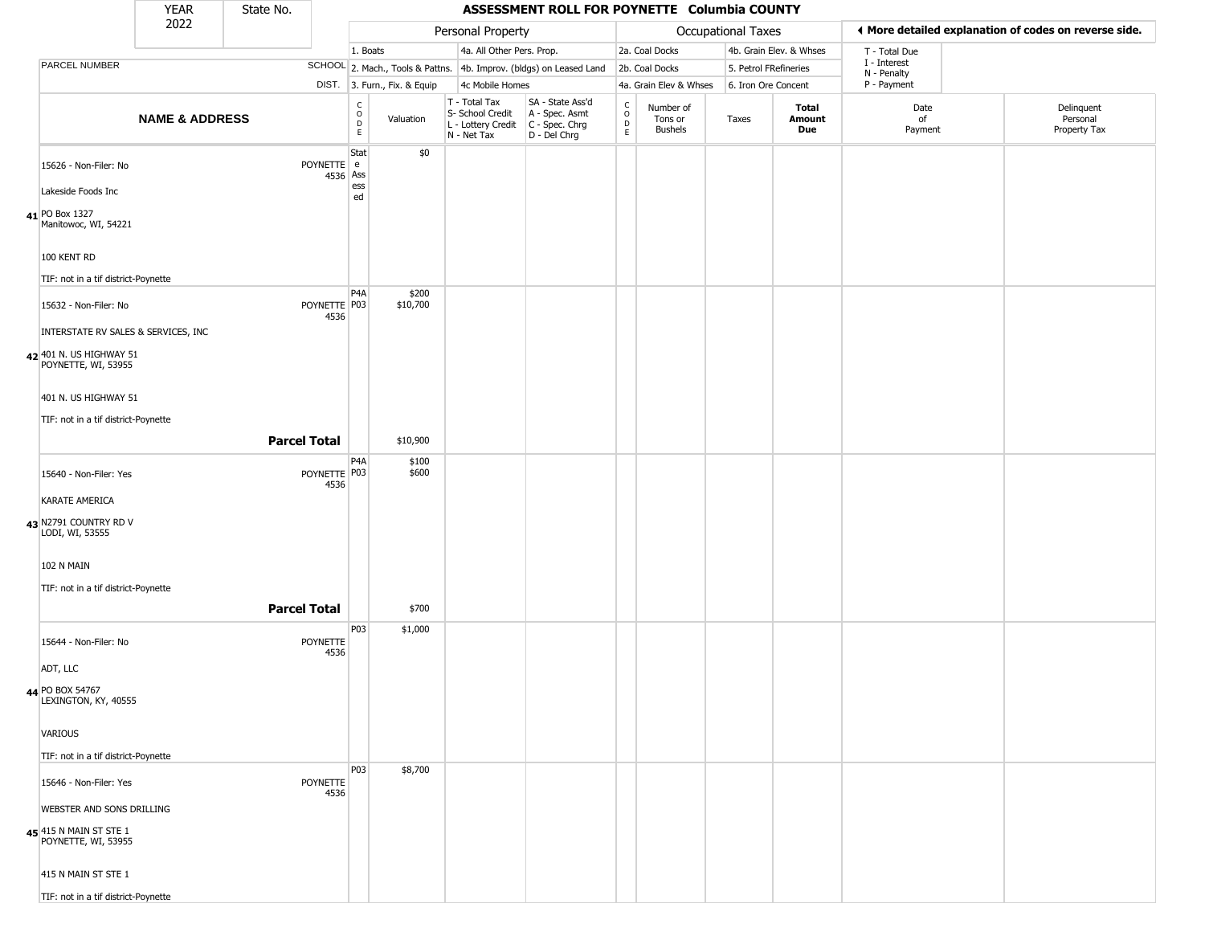|                                                | <b>YEAR</b>                         | State No.           |                         |                                  |                              |                                                                        | ASSESSMENT ROLL FOR POYNETTE Columbia COUNTY                         |                                    |                                        |                       |                               |                             |                                                       |
|------------------------------------------------|-------------------------------------|---------------------|-------------------------|----------------------------------|------------------------------|------------------------------------------------------------------------|----------------------------------------------------------------------|------------------------------------|----------------------------------------|-----------------------|-------------------------------|-----------------------------|-------------------------------------------------------|
|                                                | 2022                                |                     |                         |                                  |                              | Personal Property                                                      |                                                                      |                                    |                                        | Occupational Taxes    |                               |                             | ◀ More detailed explanation of codes on reverse side. |
|                                                |                                     |                     |                         | 1. Boats                         |                              | 4a. All Other Pers. Prop.                                              |                                                                      |                                    | 2a. Coal Docks                         |                       | 4b. Grain Elev. & Whses       | T - Total Due               |                                                       |
| PARCEL NUMBER                                  |                                     |                     |                         |                                  |                              |                                                                        | SCHOOL 2. Mach., Tools & Pattns. 4b. Improv. (bldgs) on Leased Land  |                                    | 2b. Coal Docks                         | 5. Petrol FRefineries |                               | I - Interest<br>N - Penalty |                                                       |
|                                                |                                     |                     |                         |                                  | DIST. 3. Furn., Fix. & Equip | 4c Mobile Homes                                                        |                                                                      |                                    | 4a. Grain Elev & Whses                 | 6. Iron Ore Concent   |                               | P - Payment                 |                                                       |
|                                                | <b>NAME &amp; ADDRESS</b>           |                     |                         | C<br>$\circ$<br>$\mathsf D$<br>E | Valuation                    | T - Total Tax<br>S- School Credit<br>L - Lottery Credit<br>N - Net Tax | SA - State Ass'd<br>A - Spec. Asmt<br>C - Spec. Chrg<br>D - Del Chrg | $\int_{0}^{c}$<br>$\mathsf D$<br>E | Number of<br>Tons or<br><b>Bushels</b> | Taxes                 | <b>Total</b><br>Amount<br>Due | Date<br>of<br>Payment       | Delinquent<br>Personal<br>Property Tax                |
| 15626 - Non-Filer: No<br>Lakeside Foods Inc    |                                     |                     | POYNETTE e<br>4536 Ass  | Stat<br>ess                      | \$0                          |                                                                        |                                                                      |                                    |                                        |                       |                               |                             |                                                       |
|                                                |                                     |                     |                         | ed                               |                              |                                                                        |                                                                      |                                    |                                        |                       |                               |                             |                                                       |
| 41 PO Box 1327<br>Manitowoc, WI, 54221         |                                     |                     |                         |                                  |                              |                                                                        |                                                                      |                                    |                                        |                       |                               |                             |                                                       |
| 100 KENT RD                                    |                                     |                     |                         |                                  |                              |                                                                        |                                                                      |                                    |                                        |                       |                               |                             |                                                       |
| TIF: not in a tif district-Poynette            |                                     |                     |                         | P <sub>4</sub> A                 | \$200                        |                                                                        |                                                                      |                                    |                                        |                       |                               |                             |                                                       |
| 15632 - Non-Filer: No                          |                                     |                     | POYNETTE P03<br>4536    |                                  | \$10,700                     |                                                                        |                                                                      |                                    |                                        |                       |                               |                             |                                                       |
|                                                | INTERSTATE RV SALES & SERVICES, INC |                     |                         |                                  |                              |                                                                        |                                                                      |                                    |                                        |                       |                               |                             |                                                       |
| 42 401 N. US HIGHWAY 51<br>POYNETTE, WI, 53955 |                                     |                     |                         |                                  |                              |                                                                        |                                                                      |                                    |                                        |                       |                               |                             |                                                       |
| 401 N. US HIGHWAY 51                           |                                     |                     |                         |                                  |                              |                                                                        |                                                                      |                                    |                                        |                       |                               |                             |                                                       |
| TIF: not in a tif district-Poynette            |                                     |                     |                         |                                  |                              |                                                                        |                                                                      |                                    |                                        |                       |                               |                             |                                                       |
|                                                |                                     | <b>Parcel Total</b> |                         |                                  | \$10,900                     |                                                                        |                                                                      |                                    |                                        |                       |                               |                             |                                                       |
| 15640 - Non-Filer: Yes                         |                                     |                     | POYNETTE P03<br>4536    | P <sub>4</sub> A                 | \$100<br>\$600               |                                                                        |                                                                      |                                    |                                        |                       |                               |                             |                                                       |
| KARATE AMERICA                                 |                                     |                     |                         |                                  |                              |                                                                        |                                                                      |                                    |                                        |                       |                               |                             |                                                       |
| 43 N2791 COUNTRY RD V<br>LODI, WI, 53555       |                                     |                     |                         |                                  |                              |                                                                        |                                                                      |                                    |                                        |                       |                               |                             |                                                       |
| 102 N MAIN                                     |                                     |                     |                         |                                  |                              |                                                                        |                                                                      |                                    |                                        |                       |                               |                             |                                                       |
| TIF: not in a tif district-Poynette            |                                     |                     |                         |                                  |                              |                                                                        |                                                                      |                                    |                                        |                       |                               |                             |                                                       |
|                                                |                                     | <b>Parcel Total</b> |                         |                                  | \$700                        |                                                                        |                                                                      |                                    |                                        |                       |                               |                             |                                                       |
| 15644 - Non-Filer: No                          |                                     |                     | POYNETTE<br>4536        | P03                              | \$1,000                      |                                                                        |                                                                      |                                    |                                        |                       |                               |                             |                                                       |
| ADT, LLC                                       |                                     |                     |                         |                                  |                              |                                                                        |                                                                      |                                    |                                        |                       |                               |                             |                                                       |
| 44 PO BOX 54767<br>LEXINGTON, KY, 40555        |                                     |                     |                         |                                  |                              |                                                                        |                                                                      |                                    |                                        |                       |                               |                             |                                                       |
| VARIOUS                                        |                                     |                     |                         |                                  |                              |                                                                        |                                                                      |                                    |                                        |                       |                               |                             |                                                       |
| TIF: not in a tif district-Poynette            |                                     |                     |                         |                                  |                              |                                                                        |                                                                      |                                    |                                        |                       |                               |                             |                                                       |
| 15646 - Non-Filer: Yes                         |                                     |                     | <b>POYNETTE</b><br>4536 | P03                              | \$8,700                      |                                                                        |                                                                      |                                    |                                        |                       |                               |                             |                                                       |
| WEBSTER AND SONS DRILLING                      |                                     |                     |                         |                                  |                              |                                                                        |                                                                      |                                    |                                        |                       |                               |                             |                                                       |
| 45 415 N MAIN ST STE 1<br>POYNETTE, WI, 53955  |                                     |                     |                         |                                  |                              |                                                                        |                                                                      |                                    |                                        |                       |                               |                             |                                                       |
| 415 N MAIN ST STE 1                            |                                     |                     |                         |                                  |                              |                                                                        |                                                                      |                                    |                                        |                       |                               |                             |                                                       |
| TIF: not in a tif district-Poynette            |                                     |                     |                         |                                  |                              |                                                                        |                                                                      |                                    |                                        |                       |                               |                             |                                                       |

TIF: not in a tif district-Poynette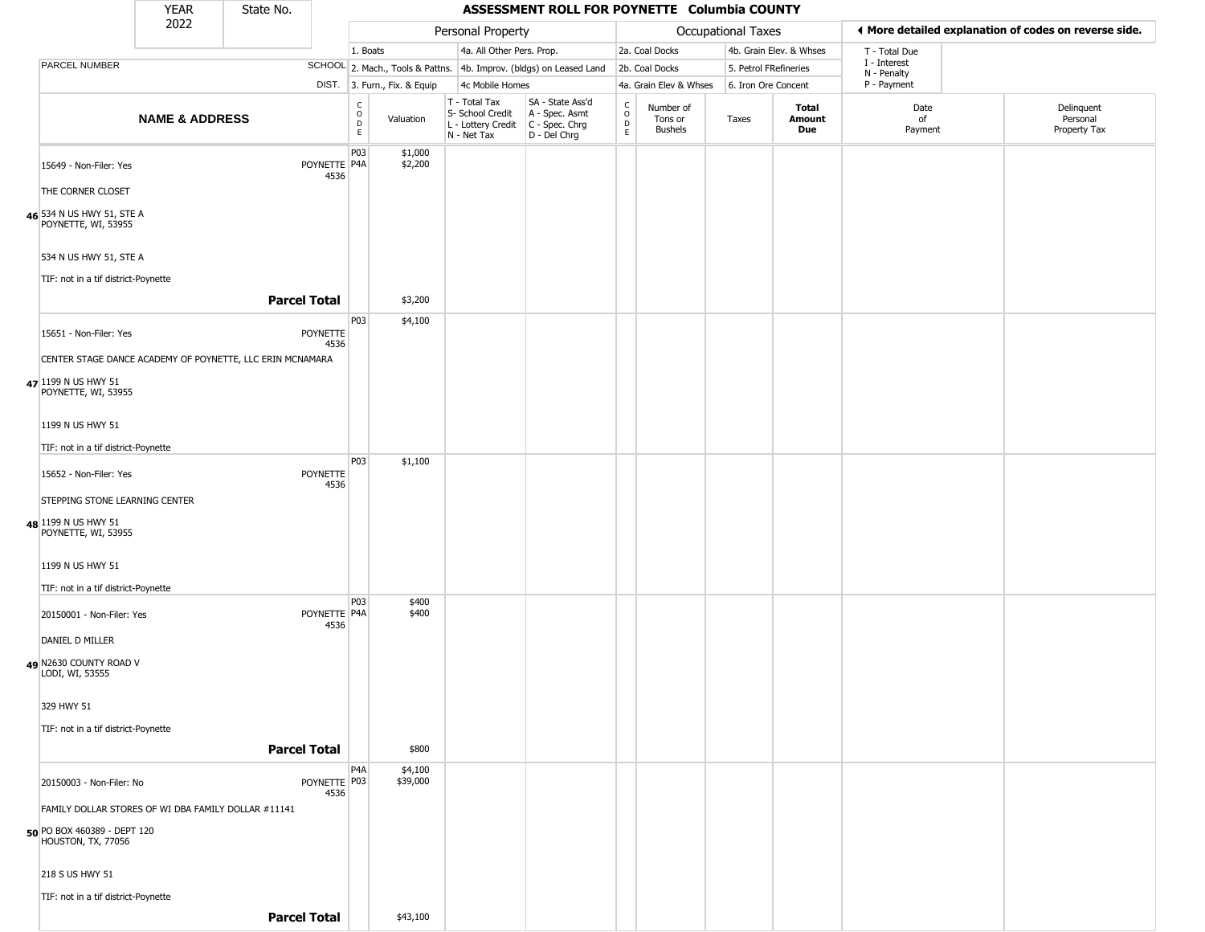|                                                               | <b>YEAR</b>               | State No.           |                      |                              |                              |                                                                                         | ASSESSMENT ROLL FOR POYNETTE Columbia COUNTY                        |                         |                                 |                           |                         |                             |                                                       |
|---------------------------------------------------------------|---------------------------|---------------------|----------------------|------------------------------|------------------------------|-----------------------------------------------------------------------------------------|---------------------------------------------------------------------|-------------------------|---------------------------------|---------------------------|-------------------------|-----------------------------|-------------------------------------------------------|
|                                                               | 2022                      |                     |                      |                              |                              | Personal Property                                                                       |                                                                     |                         |                                 | <b>Occupational Taxes</b> |                         |                             | ◀ More detailed explanation of codes on reverse side. |
|                                                               |                           |                     |                      | 1. Boats                     |                              | 4a. All Other Pers. Prop.                                                               |                                                                     |                         | 2a. Coal Docks                  |                           | 4b. Grain Elev. & Whses | T - Total Due               |                                                       |
| PARCEL NUMBER                                                 |                           |                     |                      |                              |                              |                                                                                         | SCHOOL 2. Mach., Tools & Pattns. 4b. Improv. (bldgs) on Leased Land |                         | 2b. Coal Docks                  | 5. Petrol FRefineries     |                         | I - Interest<br>N - Penalty |                                                       |
|                                                               |                           |                     |                      |                              | DIST. 3. Furn., Fix. & Equip | 4c Mobile Homes                                                                         |                                                                     |                         | 4a. Grain Elev & Whses          | 6. Iron Ore Concent       |                         | P - Payment                 |                                                       |
|                                                               | <b>NAME &amp; ADDRESS</b> |                     |                      | $_{\rm o}^{\rm c}$<br>D<br>E | Valuation                    | T - Total Tax<br>S- School Credit<br>L - Lottery Credit   C - Spec. Chrg<br>N - Net Tax | SA - State Ass'd<br>A - Spec. Asmt<br>D - Del Chrg                  | C<br>$\circ$<br>D<br>E. | Number of<br>Tons or<br>Bushels | Taxes                     | Total<br>Amount<br>Due  | Date<br>of<br>Payment       | Delinquent<br>Personal<br>Property Tax                |
| 15649 - Non-Filer: Yes                                        |                           |                     | POYNETTE P4A<br>4536 | P03                          | \$1,000<br>\$2,200           |                                                                                         |                                                                     |                         |                                 |                           |                         |                             |                                                       |
| THE CORNER CLOSET                                             |                           |                     |                      |                              |                              |                                                                                         |                                                                     |                         |                                 |                           |                         |                             |                                                       |
| 46 534 N US HWY 51, STE A<br>POYNETTE, WI, 53955              |                           |                     |                      |                              |                              |                                                                                         |                                                                     |                         |                                 |                           |                         |                             |                                                       |
| 534 N US HWY 51, STE A<br>TIF: not in a tif district-Poynette |                           |                     |                      |                              |                              |                                                                                         |                                                                     |                         |                                 |                           |                         |                             |                                                       |
|                                                               |                           | <b>Parcel Total</b> |                      |                              | \$3,200                      |                                                                                         |                                                                     |                         |                                 |                           |                         |                             |                                                       |
| 15651 - Non-Filer: Yes                                        |                           |                     | POYNETTE<br>4536     | P03                          | \$4,100                      |                                                                                         |                                                                     |                         |                                 |                           |                         |                             |                                                       |
| CENTER STAGE DANCE ACADEMY OF POYNETTE, LLC ERIN MCNAMARA     |                           |                     |                      |                              |                              |                                                                                         |                                                                     |                         |                                 |                           |                         |                             |                                                       |
| 47 1199 N US HWY 51<br>POYNETTE, WI, 53955                    |                           |                     |                      |                              |                              |                                                                                         |                                                                     |                         |                                 |                           |                         |                             |                                                       |
| 1199 N US HWY 51                                              |                           |                     |                      |                              |                              |                                                                                         |                                                                     |                         |                                 |                           |                         |                             |                                                       |
| TIF: not in a tif district-Poynette                           |                           |                     |                      |                              |                              |                                                                                         |                                                                     |                         |                                 |                           |                         |                             |                                                       |
| 15652 - Non-Filer: Yes                                        |                           |                     | POYNETTE<br>4536     | P03                          | \$1,100                      |                                                                                         |                                                                     |                         |                                 |                           |                         |                             |                                                       |
| STEPPING STONE LEARNING CENTER                                |                           |                     |                      |                              |                              |                                                                                         |                                                                     |                         |                                 |                           |                         |                             |                                                       |
| 48 1199 N US HWY 51<br>POYNETTE, WI, 53955                    |                           |                     |                      |                              |                              |                                                                                         |                                                                     |                         |                                 |                           |                         |                             |                                                       |
| 1199 N US HWY 51                                              |                           |                     |                      |                              |                              |                                                                                         |                                                                     |                         |                                 |                           |                         |                             |                                                       |
| TIF: not in a tif district-Poynette                           |                           |                     |                      |                              |                              |                                                                                         |                                                                     |                         |                                 |                           |                         |                             |                                                       |
| 20150001 - Non-Filer: Yes                                     |                           |                     | POYNETTE P4A<br>4536 | P03                          | \$400<br>\$400               |                                                                                         |                                                                     |                         |                                 |                           |                         |                             |                                                       |
| DANIEL D MILLER                                               |                           |                     |                      |                              |                              |                                                                                         |                                                                     |                         |                                 |                           |                         |                             |                                                       |
| 49 N2630 COUNTY ROAD V<br>LODI, WI, 53555                     |                           |                     |                      |                              |                              |                                                                                         |                                                                     |                         |                                 |                           |                         |                             |                                                       |
| 329 HWY 51                                                    |                           |                     |                      |                              |                              |                                                                                         |                                                                     |                         |                                 |                           |                         |                             |                                                       |
| TIF: not in a tif district-Poynette                           |                           |                     |                      |                              |                              |                                                                                         |                                                                     |                         |                                 |                           |                         |                             |                                                       |
|                                                               |                           | <b>Parcel Total</b> |                      |                              | \$800                        |                                                                                         |                                                                     |                         |                                 |                           |                         |                             |                                                       |
| 20150003 - Non-Filer: No                                      |                           |                     | POYNETTE P03<br>4536 | P <sub>4</sub> A             | \$4,100<br>\$39,000          |                                                                                         |                                                                     |                         |                                 |                           |                         |                             |                                                       |
| FAMILY DOLLAR STORES OF WI DBA FAMILY DOLLAR #11141           |                           |                     |                      |                              |                              |                                                                                         |                                                                     |                         |                                 |                           |                         |                             |                                                       |
| 50 PO BOX 460389 - DEPT 120<br>HOUSTON, TX, 77056             |                           |                     |                      |                              |                              |                                                                                         |                                                                     |                         |                                 |                           |                         |                             |                                                       |
| 218 S US HWY 51                                               |                           |                     |                      |                              |                              |                                                                                         |                                                                     |                         |                                 |                           |                         |                             |                                                       |
| TIF: not in a tif district-Poynette                           |                           |                     |                      |                              |                              |                                                                                         |                                                                     |                         |                                 |                           |                         |                             |                                                       |
|                                                               |                           | <b>Parcel Total</b> |                      |                              | \$43,100                     |                                                                                         |                                                                     |                         |                                 |                           |                         |                             |                                                       |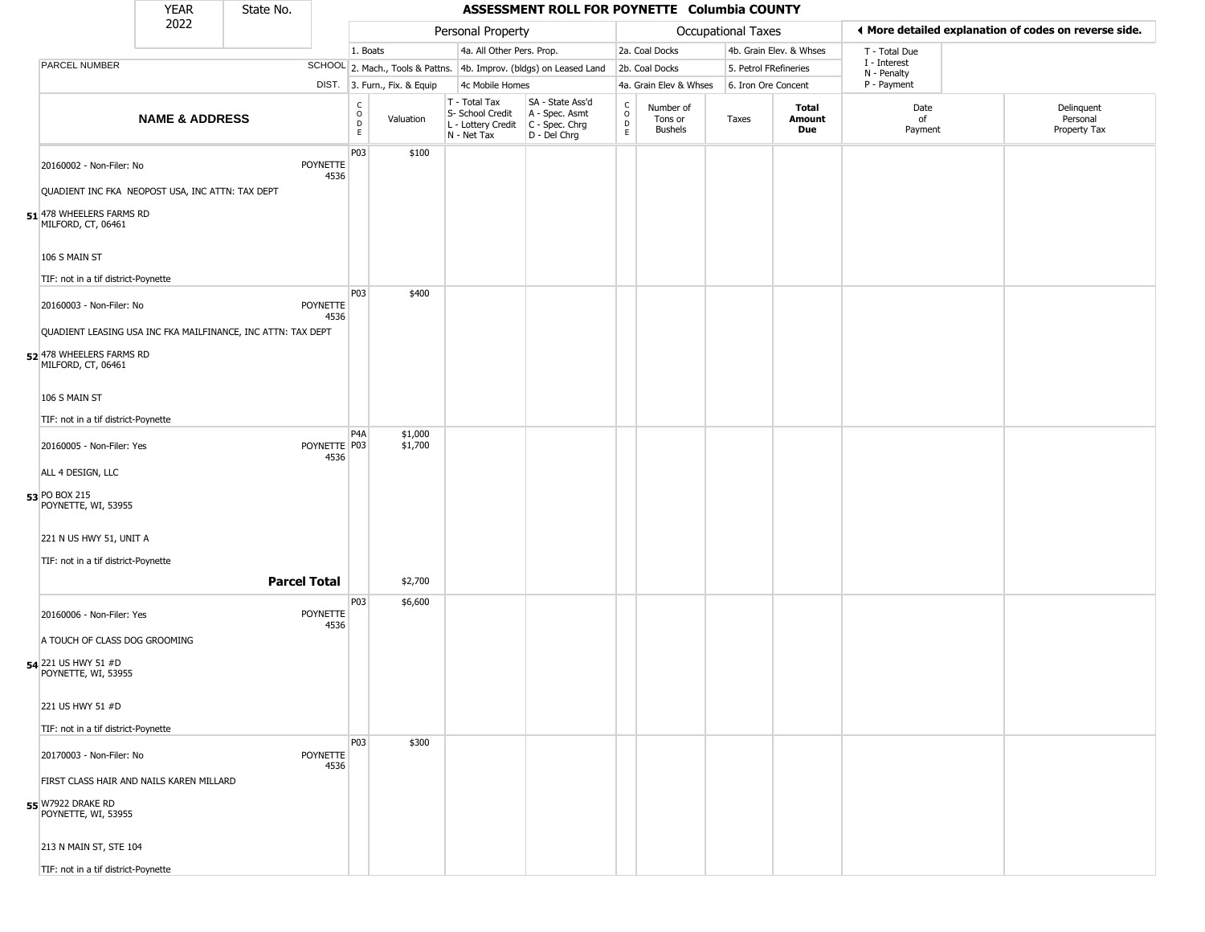|                                                | <b>YEAR</b>                                                  | State No. |                         |                  |                              |                                                                        | ASSESSMENT ROLL FOR POYNETTE Columbia COUNTY                           |                                                          |                                 |                       |                         |                                                       |                                        |
|------------------------------------------------|--------------------------------------------------------------|-----------|-------------------------|------------------|------------------------------|------------------------------------------------------------------------|------------------------------------------------------------------------|----------------------------------------------------------|---------------------------------|-----------------------|-------------------------|-------------------------------------------------------|----------------------------------------|
|                                                | 2022                                                         |           |                         |                  |                              | Personal Property                                                      |                                                                        |                                                          |                                 | Occupational Taxes    |                         | ◀ More detailed explanation of codes on reverse side. |                                        |
|                                                |                                                              |           |                         | 1. Boats         |                              | 4a. All Other Pers. Prop.                                              |                                                                        |                                                          | 2a. Coal Docks                  |                       | 4b. Grain Elev. & Whses | T - Total Due                                         |                                        |
| PARCEL NUMBER                                  |                                                              |           |                         |                  |                              |                                                                        | SCHOOL 2. Mach., Tools & Pattns. 4b. Improv. (bldgs) on Leased Land    |                                                          | 2b. Coal Docks                  | 5. Petrol FRefineries |                         | I - Interest<br>N - Penalty                           |                                        |
|                                                |                                                              |           |                         |                  | DIST. 3. Furn., Fix. & Equip | 4c Mobile Homes                                                        |                                                                        |                                                          | 4a. Grain Elev & Whses          | 6. Iron Ore Concent   |                         | P - Payment                                           |                                        |
|                                                | <b>NAME &amp; ADDRESS</b>                                    |           |                         | C<br>D<br>D<br>E | Valuation                    | T - Total Tax<br>S- School Credit<br>L - Lottery Credit<br>N - Net Tax | SA - State Ass'd<br>A - Spec. Asmt<br>$C - Spec. Chrg$<br>D - Del Chrg | $\begin{smallmatrix} C \\ O \\ D \end{smallmatrix}$<br>E | Number of<br>Tons or<br>Bushels | Taxes                 | Total<br>Amount<br>Due  | Date<br>of<br>Payment                                 | Delinquent<br>Personal<br>Property Tax |
| 20160002 - Non-Filer: No                       |                                                              |           | POYNETTE<br>4536        | P03              | \$100                        |                                                                        |                                                                        |                                                          |                                 |                       |                         |                                                       |                                        |
|                                                | QUADIENT INC FKA NEOPOST USA, INC ATTN: TAX DEPT             |           |                         |                  |                              |                                                                        |                                                                        |                                                          |                                 |                       |                         |                                                       |                                        |
| 51 478 WHEELERS FARMS RD<br>MILFORD, CT, 06461 |                                                              |           |                         |                  |                              |                                                                        |                                                                        |                                                          |                                 |                       |                         |                                                       |                                        |
| 106 S MAIN ST                                  |                                                              |           |                         |                  |                              |                                                                        |                                                                        |                                                          |                                 |                       |                         |                                                       |                                        |
| TIF: not in a tif district-Poynette            |                                                              |           |                         |                  |                              |                                                                        |                                                                        |                                                          |                                 |                       |                         |                                                       |                                        |
| 20160003 - Non-Filer: No                       |                                                              |           | <b>POYNETTE</b><br>4536 | P03              | \$400                        |                                                                        |                                                                        |                                                          |                                 |                       |                         |                                                       |                                        |
|                                                | QUADIENT LEASING USA INC FKA MAILFINANCE, INC ATTN: TAX DEPT |           |                         |                  |                              |                                                                        |                                                                        |                                                          |                                 |                       |                         |                                                       |                                        |
| 52 478 WHEELERS FARMS RD<br>MILFORD, CT, 06461 |                                                              |           |                         |                  |                              |                                                                        |                                                                        |                                                          |                                 |                       |                         |                                                       |                                        |
| 106 S MAIN ST                                  |                                                              |           |                         |                  |                              |                                                                        |                                                                        |                                                          |                                 |                       |                         |                                                       |                                        |
| TIF: not in a tif district-Poynette            |                                                              |           |                         |                  |                              |                                                                        |                                                                        |                                                          |                                 |                       |                         |                                                       |                                        |
| 20160005 - Non-Filer: Yes                      |                                                              |           | POYNETTE P03<br>4536    | P4A              | \$1,000<br>\$1,700           |                                                                        |                                                                        |                                                          |                                 |                       |                         |                                                       |                                        |
| ALL 4 DESIGN, LLC                              |                                                              |           |                         |                  |                              |                                                                        |                                                                        |                                                          |                                 |                       |                         |                                                       |                                        |
| 53 PO BOX 215<br>POYNETTE, WI, 53955           |                                                              |           |                         |                  |                              |                                                                        |                                                                        |                                                          |                                 |                       |                         |                                                       |                                        |
| 221 N US HWY 51, UNIT A                        |                                                              |           |                         |                  |                              |                                                                        |                                                                        |                                                          |                                 |                       |                         |                                                       |                                        |
| TIF: not in a tif district-Poynette            |                                                              |           |                         |                  |                              |                                                                        |                                                                        |                                                          |                                 |                       |                         |                                                       |                                        |
|                                                |                                                              |           | <b>Parcel Total</b>     |                  | \$2,700                      |                                                                        |                                                                        |                                                          |                                 |                       |                         |                                                       |                                        |
| 20160006 - Non-Filer: Yes                      |                                                              |           | <b>POYNETTE</b>         | P03              | \$6,600                      |                                                                        |                                                                        |                                                          |                                 |                       |                         |                                                       |                                        |
| A TOUCH OF CLASS DOG GROOMING                  |                                                              |           | 4536                    |                  |                              |                                                                        |                                                                        |                                                          |                                 |                       |                         |                                                       |                                        |
| 54 221 US HWY 51 #D<br>POYNETTE, WI, 53955     |                                                              |           |                         |                  |                              |                                                                        |                                                                        |                                                          |                                 |                       |                         |                                                       |                                        |
| 221 US HWY 51 #D                               |                                                              |           |                         |                  |                              |                                                                        |                                                                        |                                                          |                                 |                       |                         |                                                       |                                        |
| TIF: not in a tif district-Poynette            |                                                              |           |                         |                  |                              |                                                                        |                                                                        |                                                          |                                 |                       |                         |                                                       |                                        |
| 20170003 - Non-Filer: No                       |                                                              |           | <b>POYNETTE</b>         | <b>P03</b>       | \$300                        |                                                                        |                                                                        |                                                          |                                 |                       |                         |                                                       |                                        |
|                                                | FIRST CLASS HAIR AND NAILS KAREN MILLARD                     |           | 4536                    |                  |                              |                                                                        |                                                                        |                                                          |                                 |                       |                         |                                                       |                                        |
| 55 W7922 DRAKE RD<br>POYNETTE, WI, 53955       |                                                              |           |                         |                  |                              |                                                                        |                                                                        |                                                          |                                 |                       |                         |                                                       |                                        |
| 213 N MAIN ST, STE 104                         |                                                              |           |                         |                  |                              |                                                                        |                                                                        |                                                          |                                 |                       |                         |                                                       |                                        |
| TIF: not in a tif district-Poynette            |                                                              |           |                         |                  |                              |                                                                        |                                                                        |                                                          |                                 |                       |                         |                                                       |                                        |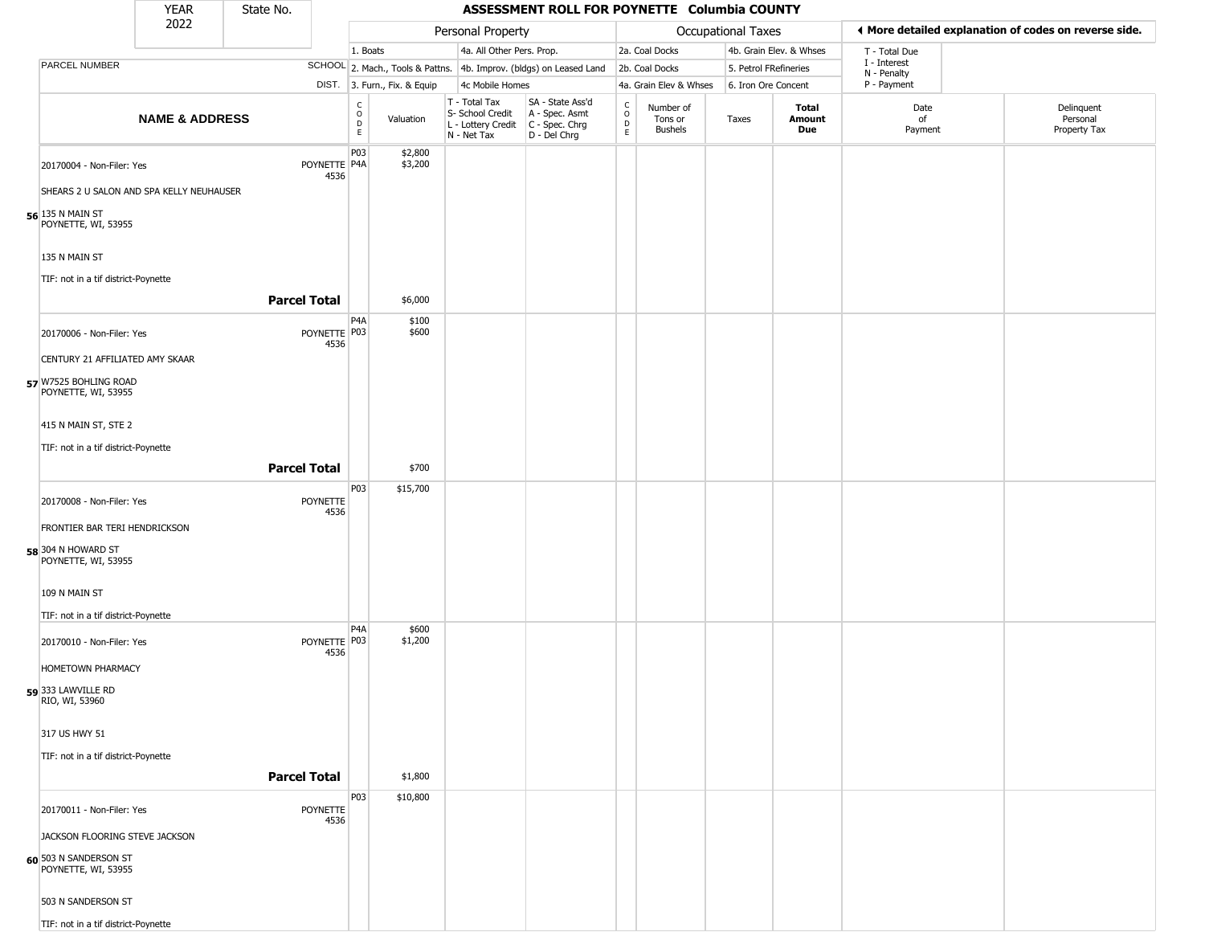|                                                                       | <b>YEAR</b>               | State No.           |                      |                                          |                              |                                                                        | ASSESSMENT ROLL FOR POYNETTE Columbia COUNTY                         |                                                                    |                                        |                           |                         |                             |                                                       |
|-----------------------------------------------------------------------|---------------------------|---------------------|----------------------|------------------------------------------|------------------------------|------------------------------------------------------------------------|----------------------------------------------------------------------|--------------------------------------------------------------------|----------------------------------------|---------------------------|-------------------------|-----------------------------|-------------------------------------------------------|
|                                                                       | 2022                      |                     |                      |                                          |                              | Personal Property                                                      |                                                                      |                                                                    |                                        | <b>Occupational Taxes</b> |                         |                             | ♦ More detailed explanation of codes on reverse side. |
|                                                                       |                           |                     |                      | 1. Boats                                 |                              | 4a. All Other Pers. Prop.                                              |                                                                      |                                                                    | 2a. Coal Docks                         |                           | 4b. Grain Elev. & Whses | T - Total Due               |                                                       |
| <b>PARCEL NUMBER</b>                                                  |                           |                     |                      |                                          |                              |                                                                        | SCHOOL 2. Mach., Tools & Pattns. 4b. Improv. (bldgs) on Leased Land  |                                                                    | 2b. Coal Docks                         | 5. Petrol FRefineries     |                         | I - Interest<br>N - Penalty |                                                       |
|                                                                       |                           |                     |                      |                                          | DIST. 3. Furn., Fix. & Equip | 4c Mobile Homes                                                        |                                                                      |                                                                    | 4a. Grain Elev & Whses                 | 6. Iron Ore Concent       |                         | P - Payment                 |                                                       |
|                                                                       | <b>NAME &amp; ADDRESS</b> |                     |                      | $\rm _o^C$<br>$\mathsf D$<br>$\mathsf E$ | Valuation                    | T - Total Tax<br>S- School Credit<br>L - Lottery Credit<br>N - Net Tax | SA - State Ass'd<br>A - Spec. Asmt<br>C - Spec. Chrg<br>D - Del Chrg | $\begin{smallmatrix} C \\ 0 \\ D \end{smallmatrix}$<br>$\mathsf E$ | Number of<br>Tons or<br><b>Bushels</b> | Taxes                     | Total<br>Amount<br>Due  | Date<br>of<br>Payment       | Delinquent<br>Personal<br>Property Tax                |
| 20170004 - Non-Filer: Yes<br>SHEARS 2 U SALON AND SPA KELLY NEUHAUSER |                           |                     | POYNETTE P4A<br>4536 | P03                                      | \$2,800<br>\$3,200           |                                                                        |                                                                      |                                                                    |                                        |                           |                         |                             |                                                       |
| 56 135 N MAIN ST<br>POYNETTE, WI, 53955                               |                           |                     |                      |                                          |                              |                                                                        |                                                                      |                                                                    |                                        |                           |                         |                             |                                                       |
| 135 N MAIN ST                                                         |                           |                     |                      |                                          |                              |                                                                        |                                                                      |                                                                    |                                        |                           |                         |                             |                                                       |
| TIF: not in a tif district-Poynette                                   |                           | <b>Parcel Total</b> |                      |                                          | \$6,000                      |                                                                        |                                                                      |                                                                    |                                        |                           |                         |                             |                                                       |
| 20170006 - Non-Filer: Yes                                             |                           |                     | POYNETTE P03<br>4536 | P4A                                      | \$100<br>\$600               |                                                                        |                                                                      |                                                                    |                                        |                           |                         |                             |                                                       |
| CENTURY 21 AFFILIATED AMY SKAAR                                       |                           |                     |                      |                                          |                              |                                                                        |                                                                      |                                                                    |                                        |                           |                         |                             |                                                       |
| 57 W7525 BOHLING ROAD<br>POYNETTE, WI, 53955                          |                           |                     |                      |                                          |                              |                                                                        |                                                                      |                                                                    |                                        |                           |                         |                             |                                                       |
| 415 N MAIN ST, STE 2                                                  |                           |                     |                      |                                          |                              |                                                                        |                                                                      |                                                                    |                                        |                           |                         |                             |                                                       |
| TIF: not in a tif district-Poynette                                   |                           |                     |                      |                                          |                              |                                                                        |                                                                      |                                                                    |                                        |                           |                         |                             |                                                       |
|                                                                       |                           | <b>Parcel Total</b> |                      |                                          | \$700                        |                                                                        |                                                                      |                                                                    |                                        |                           |                         |                             |                                                       |
|                                                                       |                           |                     |                      | P03                                      | \$15,700                     |                                                                        |                                                                      |                                                                    |                                        |                           |                         |                             |                                                       |
| 20170008 - Non-Filer: Yes                                             |                           |                     | POYNETTE             |                                          |                              |                                                                        |                                                                      |                                                                    |                                        |                           |                         |                             |                                                       |
| FRONTIER BAR TERI HENDRICKSON                                         |                           |                     | 4536                 |                                          |                              |                                                                        |                                                                      |                                                                    |                                        |                           |                         |                             |                                                       |
| 58 304 N HOWARD ST<br>POYNETTE, WI, 53955                             |                           |                     |                      |                                          |                              |                                                                        |                                                                      |                                                                    |                                        |                           |                         |                             |                                                       |
| 109 N MAIN ST                                                         |                           |                     |                      |                                          |                              |                                                                        |                                                                      |                                                                    |                                        |                           |                         |                             |                                                       |
| TIF: not in a tif district-Poynette                                   |                           |                     |                      | P <sub>4</sub> A                         |                              |                                                                        |                                                                      |                                                                    |                                        |                           |                         |                             |                                                       |
| 20170010 - Non-Filer: Yes<br>HOMETOWN PHARMACY                        |                           |                     | POYNETTE P03<br>4536 |                                          | \$600<br>\$1,200             |                                                                        |                                                                      |                                                                    |                                        |                           |                         |                             |                                                       |
| <b>59</b> 333 LAWVILLE RD<br>RIO, WI, 53960                           |                           |                     |                      |                                          |                              |                                                                        |                                                                      |                                                                    |                                        |                           |                         |                             |                                                       |
| 317 US HWY 51                                                         |                           |                     |                      |                                          |                              |                                                                        |                                                                      |                                                                    |                                        |                           |                         |                             |                                                       |
| TIF: not in a tif district-Poynette                                   |                           |                     |                      |                                          |                              |                                                                        |                                                                      |                                                                    |                                        |                           |                         |                             |                                                       |
|                                                                       |                           | <b>Parcel Total</b> |                      |                                          | \$1,800                      |                                                                        |                                                                      |                                                                    |                                        |                           |                         |                             |                                                       |
|                                                                       |                           |                     |                      | P03                                      | \$10,800                     |                                                                        |                                                                      |                                                                    |                                        |                           |                         |                             |                                                       |
| 20170011 - Non-Filer: Yes                                             |                           |                     | POYNETTE<br>4536     |                                          |                              |                                                                        |                                                                      |                                                                    |                                        |                           |                         |                             |                                                       |
| JACKSON FLOORING STEVE JACKSON                                        |                           |                     |                      |                                          |                              |                                                                        |                                                                      |                                                                    |                                        |                           |                         |                             |                                                       |
| 60 503 N SANDERSON ST<br>POYNETTE, WI, 53955                          |                           |                     |                      |                                          |                              |                                                                        |                                                                      |                                                                    |                                        |                           |                         |                             |                                                       |
| 503 N SANDERSON ST                                                    |                           |                     |                      |                                          |                              |                                                                        |                                                                      |                                                                    |                                        |                           |                         |                             |                                                       |
| TIF: not in a tif district-Poynette                                   |                           |                     |                      |                                          |                              |                                                                        |                                                                      |                                                                    |                                        |                           |                         |                             |                                                       |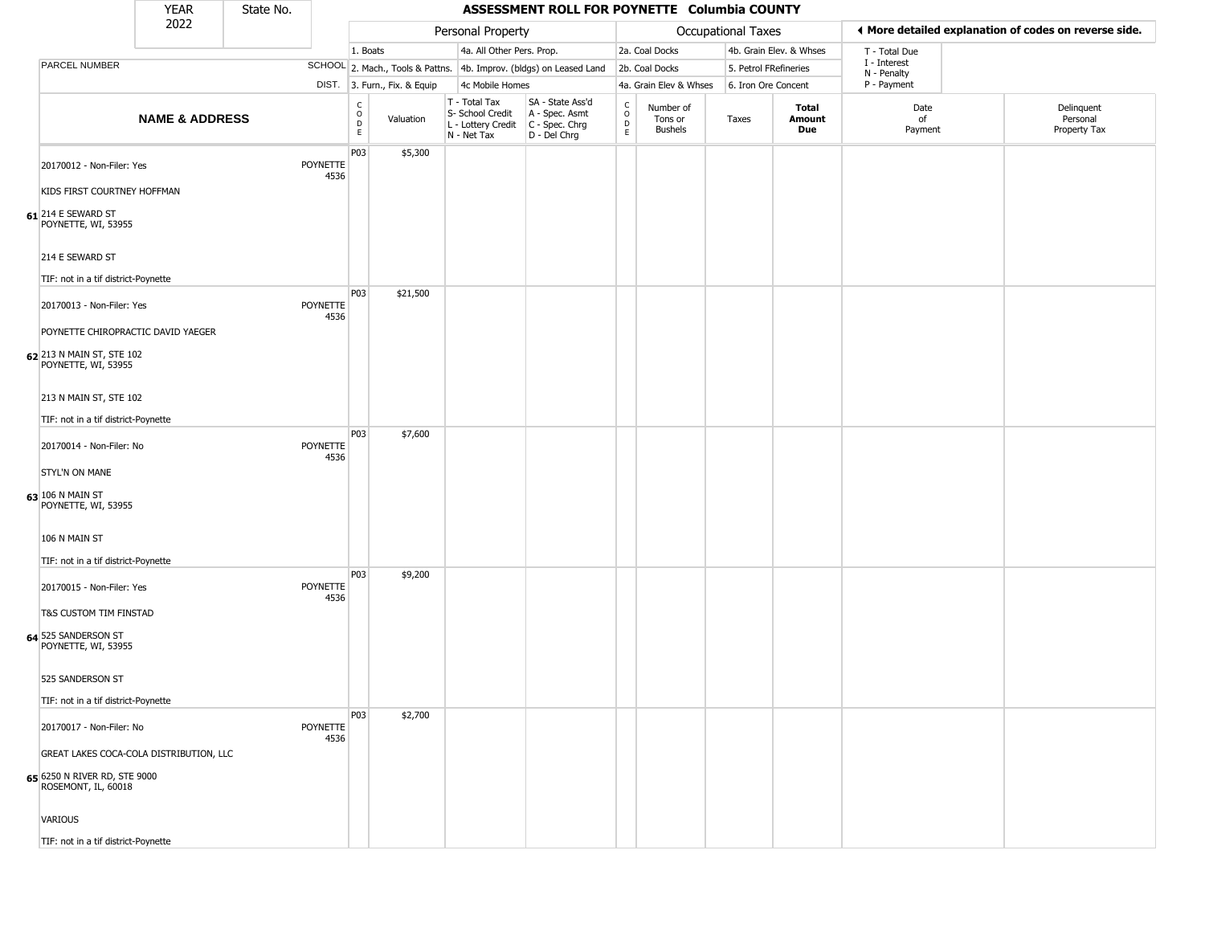|                                                        | <b>YEAR</b>                             | State No. |                         | ASSESSMENT ROLL FOR POYNETTE Columbia COUNTY |                              |                                                                                         |                                                                     |                                       |                                        |                       |                         |                             |                                                       |
|--------------------------------------------------------|-----------------------------------------|-----------|-------------------------|----------------------------------------------|------------------------------|-----------------------------------------------------------------------------------------|---------------------------------------------------------------------|---------------------------------------|----------------------------------------|-----------------------|-------------------------|-----------------------------|-------------------------------------------------------|
|                                                        | 2022                                    |           |                         |                                              |                              | Personal Property                                                                       |                                                                     |                                       |                                        | Occupational Taxes    |                         |                             | ♦ More detailed explanation of codes on reverse side. |
|                                                        |                                         |           |                         | 1. Boats                                     |                              | 4a. All Other Pers. Prop.                                                               |                                                                     |                                       | 2a. Coal Docks                         |                       | 4b. Grain Elev. & Whses | T - Total Due               |                                                       |
| PARCEL NUMBER                                          |                                         |           |                         |                                              |                              |                                                                                         | SCHOOL 2. Mach., Tools & Pattns. 4b. Improv. (bldgs) on Leased Land |                                       | 2b. Coal Docks                         | 5. Petrol FRefineries |                         | I - Interest<br>N - Penalty |                                                       |
|                                                        |                                         |           |                         |                                              | DIST. 3. Furn., Fix. & Equip | 4c Mobile Homes                                                                         |                                                                     |                                       | 4a. Grain Elev & Whses                 | 6. Iron Ore Concent   |                         | P - Payment                 |                                                       |
|                                                        | <b>NAME &amp; ADDRESS</b>               |           |                         | $\mathsf C$<br>$\mathsf O$<br>D<br>E         | Valuation                    | T - Total Tax<br>S- School Credit<br>L - Lottery Credit   C - Spec. Chrg<br>N - Net Tax | SA - State Ass'd<br>A - Spec. Asmt<br>D - Del Chrg                  | c<br>$\mathsf{o}$<br>D<br>$\mathsf E$ | Number of<br>Tons or<br><b>Bushels</b> | Taxes                 | Total<br>Amount<br>Due  | Date<br>of<br>Payment       | Delinquent<br>Personal<br>Property Tax                |
| 20170012 - Non-Filer: Yes                              |                                         |           | POYNETTE<br>4536        | P03                                          | \$5,300                      |                                                                                         |                                                                     |                                       |                                        |                       |                         |                             |                                                       |
| KIDS FIRST COURTNEY HOFFMAN                            |                                         |           |                         |                                              |                              |                                                                                         |                                                                     |                                       |                                        |                       |                         |                             |                                                       |
| $61$ <sup>214</sup> E SEWARD ST<br>POYNETTE, WI, 53955 |                                         |           |                         |                                              |                              |                                                                                         |                                                                     |                                       |                                        |                       |                         |                             |                                                       |
| 214 E SEWARD ST<br>TIF: not in a tif district-Poynette |                                         |           |                         |                                              |                              |                                                                                         |                                                                     |                                       |                                        |                       |                         |                             |                                                       |
| 20170013 - Non-Filer: Yes                              |                                         |           | POYNETTE                | P03                                          | \$21,500                     |                                                                                         |                                                                     |                                       |                                        |                       |                         |                             |                                                       |
|                                                        |                                         |           | 4536                    |                                              |                              |                                                                                         |                                                                     |                                       |                                        |                       |                         |                             |                                                       |
| 62 213 N MAIN ST, STE 102<br>POYNETTE, WI, 53955       | POYNETTE CHIROPRACTIC DAVID YAEGER      |           |                         |                                              |                              |                                                                                         |                                                                     |                                       |                                        |                       |                         |                             |                                                       |
| 213 N MAIN ST, STE 102                                 |                                         |           |                         |                                              |                              |                                                                                         |                                                                     |                                       |                                        |                       |                         |                             |                                                       |
| TIF: not in a tif district-Poynette                    |                                         |           |                         |                                              |                              |                                                                                         |                                                                     |                                       |                                        |                       |                         |                             |                                                       |
| 20170014 - Non-Filer: No                               |                                         |           | <b>POYNETTE</b><br>4536 | P03                                          | \$7,600                      |                                                                                         |                                                                     |                                       |                                        |                       |                         |                             |                                                       |
| <b>STYL'N ON MANE</b>                                  |                                         |           |                         |                                              |                              |                                                                                         |                                                                     |                                       |                                        |                       |                         |                             |                                                       |
| 63 106 N MAIN ST<br>POYNETTE, WI, 53955                |                                         |           |                         |                                              |                              |                                                                                         |                                                                     |                                       |                                        |                       |                         |                             |                                                       |
| 106 N MAIN ST                                          |                                         |           |                         |                                              |                              |                                                                                         |                                                                     |                                       |                                        |                       |                         |                             |                                                       |
| TIF: not in a tif district-Poynette                    |                                         |           |                         |                                              |                              |                                                                                         |                                                                     |                                       |                                        |                       |                         |                             |                                                       |
| 20170015 - Non-Filer: Yes                              |                                         |           | POYNETTE<br>4536        | P03                                          | \$9,200                      |                                                                                         |                                                                     |                                       |                                        |                       |                         |                             |                                                       |
| T&S CUSTOM TIM FINSTAD                                 |                                         |           |                         |                                              |                              |                                                                                         |                                                                     |                                       |                                        |                       |                         |                             |                                                       |
| 64 525 SANDERSON ST<br>POYNETTE, WI, 53955             |                                         |           |                         |                                              |                              |                                                                                         |                                                                     |                                       |                                        |                       |                         |                             |                                                       |
| 525 SANDERSON ST                                       |                                         |           |                         |                                              |                              |                                                                                         |                                                                     |                                       |                                        |                       |                         |                             |                                                       |
| TIF: not in a tif district-Poynette                    |                                         |           |                         |                                              |                              |                                                                                         |                                                                     |                                       |                                        |                       |                         |                             |                                                       |
| 20170017 - Non-Filer: No                               |                                         |           | POYNETTE<br>4536        | <b>P03</b>                                   | \$2,700                      |                                                                                         |                                                                     |                                       |                                        |                       |                         |                             |                                                       |
|                                                        | GREAT LAKES COCA-COLA DISTRIBUTION, LLC |           |                         |                                              |                              |                                                                                         |                                                                     |                                       |                                        |                       |                         |                             |                                                       |
| 65 6250 N RIVER RD, STE 9000<br>ROSEMONT, IL, 60018    |                                         |           |                         |                                              |                              |                                                                                         |                                                                     |                                       |                                        |                       |                         |                             |                                                       |
| VARIOUS                                                |                                         |           |                         |                                              |                              |                                                                                         |                                                                     |                                       |                                        |                       |                         |                             |                                                       |
| TIF: not in a tif district-Poynette                    |                                         |           |                         |                                              |                              |                                                                                         |                                                                     |                                       |                                        |                       |                         |                             |                                                       |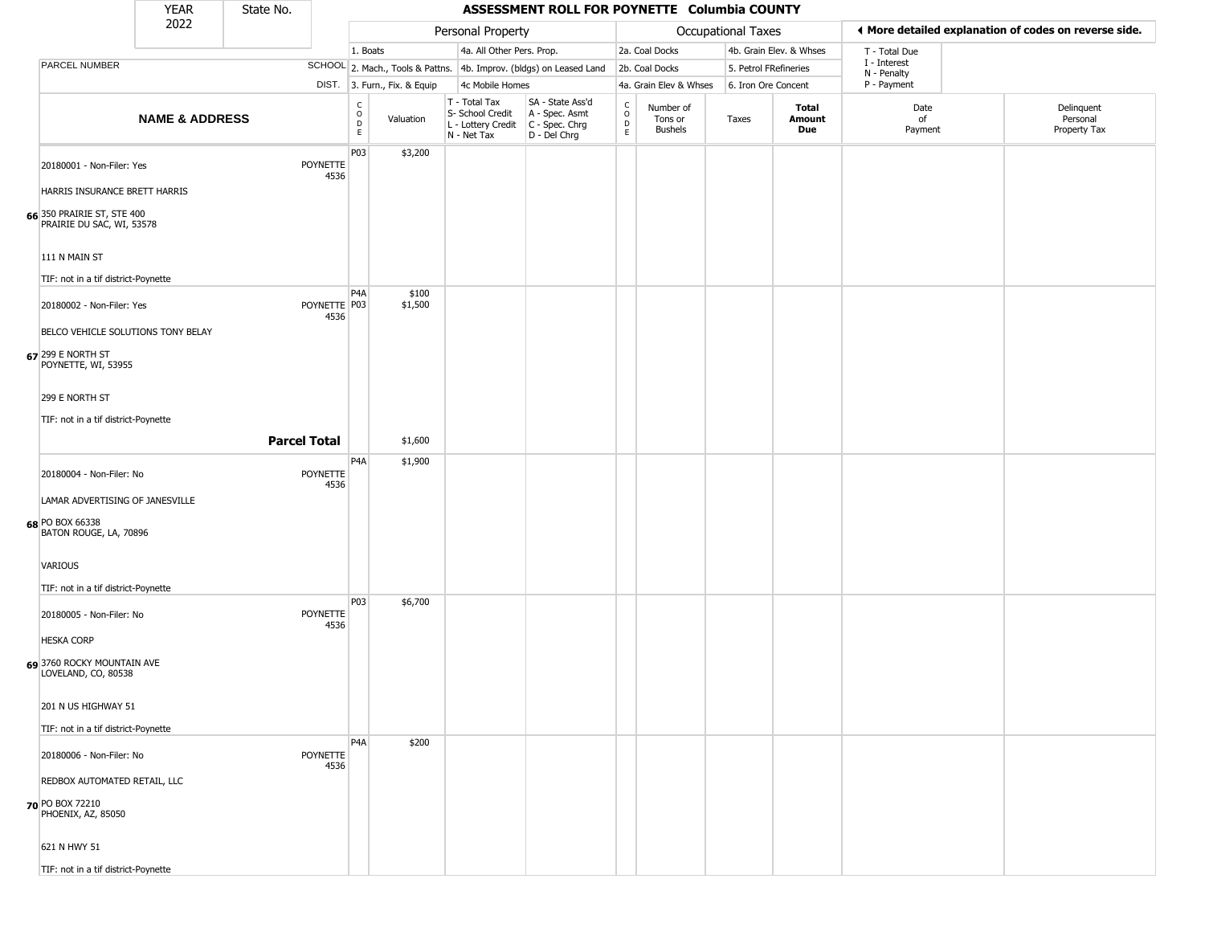|                                                         | <b>YEAR</b>               | State No. |                         | ASSESSMENT ROLL FOR POYNETTE Columbia COUNTY    |                              |                                                  |                                                                                           |                                    |                                        |                       |                         |                             |                                                       |
|---------------------------------------------------------|---------------------------|-----------|-------------------------|-------------------------------------------------|------------------------------|--------------------------------------------------|-------------------------------------------------------------------------------------------|------------------------------------|----------------------------------------|-----------------------|-------------------------|-----------------------------|-------------------------------------------------------|
|                                                         | 2022                      |           |                         |                                                 |                              | Personal Property                                |                                                                                           |                                    |                                        | Occupational Taxes    |                         |                             | ♦ More detailed explanation of codes on reverse side. |
|                                                         |                           |           |                         | 1. Boats                                        |                              | 4a. All Other Pers. Prop.                        |                                                                                           |                                    | 2a. Coal Docks                         |                       | 4b. Grain Elev. & Whses | T - Total Due               |                                                       |
| PARCEL NUMBER                                           |                           |           |                         |                                                 |                              |                                                  | SCHOOL 2. Mach., Tools & Pattns. 4b. Improv. (bldgs) on Leased Land                       |                                    | 2b. Coal Docks                         | 5. Petrol FRefineries |                         | I - Interest<br>N - Penalty |                                                       |
|                                                         |                           |           |                         |                                                 | DIST. 3. Furn., Fix. & Equip | 4c Mobile Homes                                  |                                                                                           |                                    | 4a. Grain Elev & Whses                 | 6. Iron Ore Concent   |                         | P - Payment                 |                                                       |
|                                                         | <b>NAME &amp; ADDRESS</b> |           |                         | $\begin{array}{c} C \\ O \\ D \\ E \end{array}$ | Valuation                    | T - Total Tax<br>S- School Credit<br>N - Net Tax | SA - State Ass'd<br>A - Spec. Asmt<br>L - Lottery Credit   C - Spec. Chrg<br>D - Del Chrg | $\mathsf{C}$<br>$\circ$<br>D<br>E. | Number of<br>Tons or<br><b>Bushels</b> | Taxes                 | Total<br>Amount<br>Due  | Date<br>of<br>Payment       | Delinquent<br>Personal<br>Property Tax                |
| 20180001 - Non-Filer: Yes                               |                           |           | <b>POYNETTE</b><br>4536 | P03                                             | \$3,200                      |                                                  |                                                                                           |                                    |                                        |                       |                         |                             |                                                       |
| HARRIS INSURANCE BRETT HARRIS                           |                           |           |                         |                                                 |                              |                                                  |                                                                                           |                                    |                                        |                       |                         |                             |                                                       |
| 66 350 PRAIRIE ST, STE 400<br>PRAIRIE DU SAC, WI, 53578 |                           |           |                         |                                                 |                              |                                                  |                                                                                           |                                    |                                        |                       |                         |                             |                                                       |
| 111 N MAIN ST                                           |                           |           |                         |                                                 |                              |                                                  |                                                                                           |                                    |                                        |                       |                         |                             |                                                       |
| TIF: not in a tif district-Poynette                     |                           |           |                         |                                                 |                              |                                                  |                                                                                           |                                    |                                        |                       |                         |                             |                                                       |
| 20180002 - Non-Filer: Yes                               |                           |           | POYNETTE P03<br>4536    | P <sub>4</sub> A                                | \$100<br>\$1,500             |                                                  |                                                                                           |                                    |                                        |                       |                         |                             |                                                       |
| BELCO VEHICLE SOLUTIONS TONY BELAY                      |                           |           |                         |                                                 |                              |                                                  |                                                                                           |                                    |                                        |                       |                         |                             |                                                       |
| 67 299 E NORTH ST<br>POYNETTE, WI, 53955                |                           |           |                         |                                                 |                              |                                                  |                                                                                           |                                    |                                        |                       |                         |                             |                                                       |
| 299 E NORTH ST                                          |                           |           |                         |                                                 |                              |                                                  |                                                                                           |                                    |                                        |                       |                         |                             |                                                       |
| TIF: not in a tif district-Poynette                     |                           |           |                         |                                                 |                              |                                                  |                                                                                           |                                    |                                        |                       |                         |                             |                                                       |
|                                                         |                           |           | <b>Parcel Total</b>     |                                                 | \$1,600                      |                                                  |                                                                                           |                                    |                                        |                       |                         |                             |                                                       |
|                                                         |                           |           |                         | P <sub>4</sub> A                                | \$1,900                      |                                                  |                                                                                           |                                    |                                        |                       |                         |                             |                                                       |
| 20180004 - Non-Filer: No                                |                           |           | POYNETTE<br>4536        |                                                 |                              |                                                  |                                                                                           |                                    |                                        |                       |                         |                             |                                                       |
| LAMAR ADVERTISING OF JANESVILLE                         |                           |           |                         |                                                 |                              |                                                  |                                                                                           |                                    |                                        |                       |                         |                             |                                                       |
| 68 PO BOX 66338<br>BATON ROUGE, LA, 70896               |                           |           |                         |                                                 |                              |                                                  |                                                                                           |                                    |                                        |                       |                         |                             |                                                       |
| VARIOUS                                                 |                           |           |                         |                                                 |                              |                                                  |                                                                                           |                                    |                                        |                       |                         |                             |                                                       |
| TIF: not in a tif district-Poynette                     |                           |           |                         |                                                 |                              |                                                  |                                                                                           |                                    |                                        |                       |                         |                             |                                                       |
| 20180005 - Non-Filer: No                                |                           |           | <b>POYNETTE</b><br>4536 | P03                                             | \$6,700                      |                                                  |                                                                                           |                                    |                                        |                       |                         |                             |                                                       |
| <b>HESKA CORP</b>                                       |                           |           |                         |                                                 |                              |                                                  |                                                                                           |                                    |                                        |                       |                         |                             |                                                       |
| 69 3760 ROCKY MOUNTAIN AVE<br>LOVELAND, CO, 80538       |                           |           |                         |                                                 |                              |                                                  |                                                                                           |                                    |                                        |                       |                         |                             |                                                       |
| 201 N US HIGHWAY 51                                     |                           |           |                         |                                                 |                              |                                                  |                                                                                           |                                    |                                        |                       |                         |                             |                                                       |
| TIF: not in a tif district-Poynette                     |                           |           |                         |                                                 |                              |                                                  |                                                                                           |                                    |                                        |                       |                         |                             |                                                       |
| 20180006 - Non-Filer: No                                |                           |           | POYNETTE<br>4536        | P <sub>4</sub> A                                | \$200                        |                                                  |                                                                                           |                                    |                                        |                       |                         |                             |                                                       |
| REDBOX AUTOMATED RETAIL, LLC                            |                           |           |                         |                                                 |                              |                                                  |                                                                                           |                                    |                                        |                       |                         |                             |                                                       |
| 70 PO BOX 72210<br>PHOENIX, AZ, 85050                   |                           |           |                         |                                                 |                              |                                                  |                                                                                           |                                    |                                        |                       |                         |                             |                                                       |
| 621 N HWY 51                                            |                           |           |                         |                                                 |                              |                                                  |                                                                                           |                                    |                                        |                       |                         |                             |                                                       |
| TIF: not in a tif district-Poynette                     |                           |           |                         |                                                 |                              |                                                  |                                                                                           |                                    |                                        |                       |                         |                             |                                                       |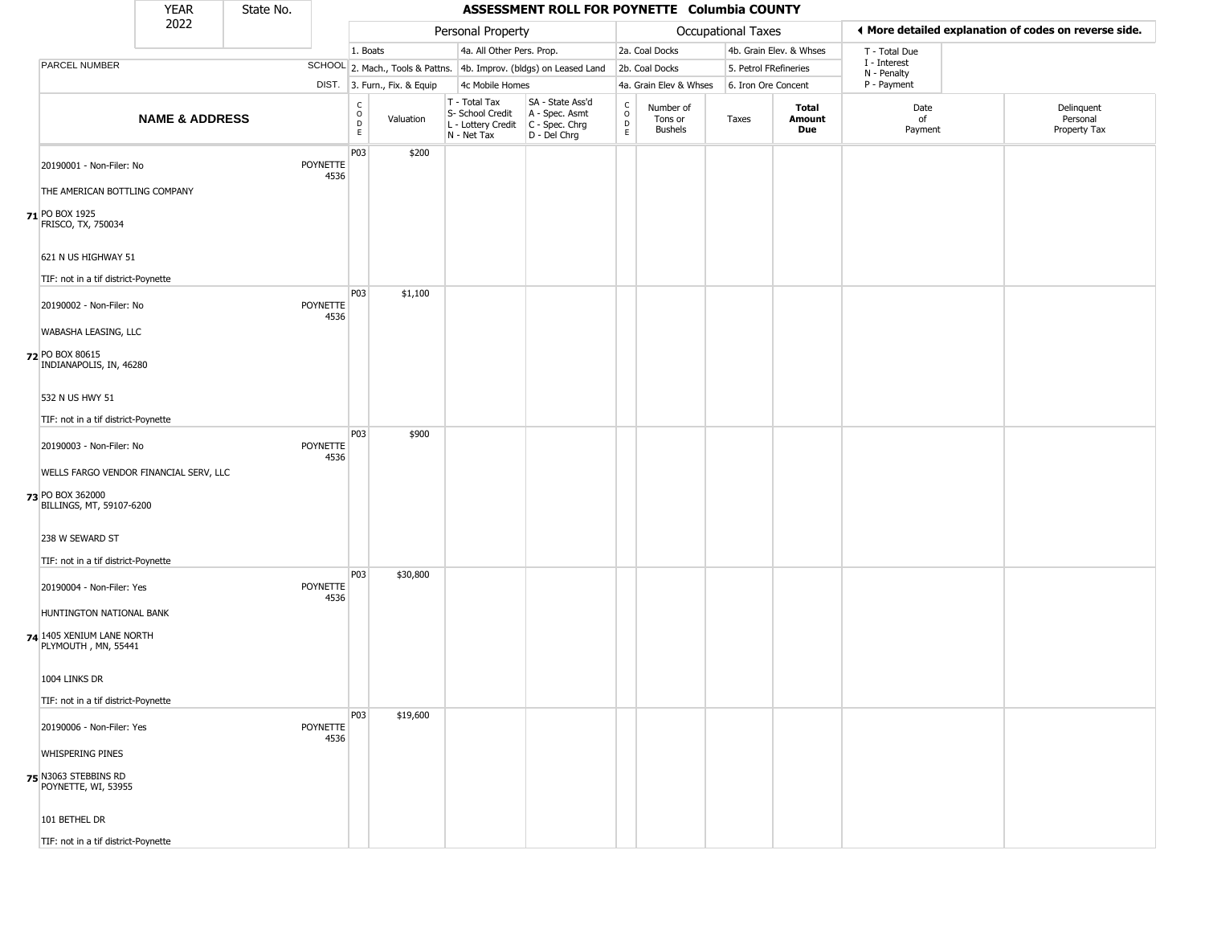|                                                            | <b>YEAR</b>               | State No. |                         | ASSESSMENT ROLL FOR POYNETTE Columbia COUNTY |                              |                                                                                         |                                                                     |                                               |                                        |                    |                         |                             |  |                                                       |
|------------------------------------------------------------|---------------------------|-----------|-------------------------|----------------------------------------------|------------------------------|-----------------------------------------------------------------------------------------|---------------------------------------------------------------------|-----------------------------------------------|----------------------------------------|--------------------|-------------------------|-----------------------------|--|-------------------------------------------------------|
|                                                            | 2022                      |           |                         |                                              |                              | Personal Property                                                                       |                                                                     |                                               |                                        | Occupational Taxes |                         |                             |  | ◀ More detailed explanation of codes on reverse side. |
|                                                            |                           |           |                         | 1. Boats                                     |                              | 4a. All Other Pers. Prop.                                                               |                                                                     |                                               | 2a. Coal Docks                         |                    | 4b. Grain Elev. & Whses | T - Total Due               |  |                                                       |
| <b>PARCEL NUMBER</b>                                       |                           |           |                         |                                              |                              |                                                                                         | SCHOOL 2. Mach., Tools & Pattns. 4b. Improv. (bldgs) on Leased Land |                                               | 2b. Coal Docks                         |                    | 5. Petrol FRefineries   | I - Interest<br>N - Penalty |  |                                                       |
|                                                            |                           |           |                         |                                              | DIST. 3. Furn., Fix. & Equip | 4c Mobile Homes                                                                         |                                                                     | 4a. Grain Elev & Whses<br>6. Iron Ore Concent |                                        | P - Payment        |                         |                             |  |                                                       |
|                                                            | <b>NAME &amp; ADDRESS</b> |           |                         | $_{\rm o}^{\rm c}$<br>$\mathsf D$<br>E       | Valuation                    | T - Total Tax<br>S- School Credit<br>L - Lottery Credit   C - Spec. Chrg<br>N - Net Tax | SA - State Ass'd<br>A - Spec. Asmt<br>D - Del Chrg                  | $\mathsf{C}$<br>$\circ$<br>D<br>E             | Number of<br>Tons or<br><b>Bushels</b> | Taxes              | Total<br>Amount<br>Due  | Date<br>of<br>Payment       |  | Delinquent<br>Personal<br>Property Tax                |
| 20190001 - Non-Filer: No                                   |                           |           | <b>POYNETTE</b><br>4536 | P03                                          | \$200                        |                                                                                         |                                                                     |                                               |                                        |                    |                         |                             |  |                                                       |
| THE AMERICAN BOTTLING COMPANY                              |                           |           |                         |                                              |                              |                                                                                         |                                                                     |                                               |                                        |                    |                         |                             |  |                                                       |
| 71 PO BOX 1925<br>FRISCO, TX, 750034                       |                           |           |                         |                                              |                              |                                                                                         |                                                                     |                                               |                                        |                    |                         |                             |  |                                                       |
| 621 N US HIGHWAY 51<br>TIF: not in a tif district-Poynette |                           |           |                         |                                              |                              |                                                                                         |                                                                     |                                               |                                        |                    |                         |                             |  |                                                       |
| 20190002 - Non-Filer: No                                   |                           |           | <b>POYNETTE</b>         | P03                                          | \$1,100                      |                                                                                         |                                                                     |                                               |                                        |                    |                         |                             |  |                                                       |
| WABASHA LEASING, LLC                                       |                           |           | 4536                    |                                              |                              |                                                                                         |                                                                     |                                               |                                        |                    |                         |                             |  |                                                       |
| 72 PO BOX 80615<br>INDIANAPOLIS, IN, 46280                 |                           |           |                         |                                              |                              |                                                                                         |                                                                     |                                               |                                        |                    |                         |                             |  |                                                       |
| 532 N US HWY 51                                            |                           |           |                         |                                              |                              |                                                                                         |                                                                     |                                               |                                        |                    |                         |                             |  |                                                       |
| TIF: not in a tif district-Poynette                        |                           |           |                         |                                              |                              |                                                                                         |                                                                     |                                               |                                        |                    |                         |                             |  |                                                       |
| 20190003 - Non-Filer: No                                   |                           |           | POYNETTE<br>4536        | P03                                          | \$900                        |                                                                                         |                                                                     |                                               |                                        |                    |                         |                             |  |                                                       |
| WELLS FARGO VENDOR FINANCIAL SERV, LLC<br>73 PO BOX 362000 |                           |           |                         |                                              |                              |                                                                                         |                                                                     |                                               |                                        |                    |                         |                             |  |                                                       |
| BILLINGS, MT, 59107-6200                                   |                           |           |                         |                                              |                              |                                                                                         |                                                                     |                                               |                                        |                    |                         |                             |  |                                                       |
| 238 W SEWARD ST                                            |                           |           |                         |                                              |                              |                                                                                         |                                                                     |                                               |                                        |                    |                         |                             |  |                                                       |
| TIF: not in a tif district-Poynette                        |                           |           |                         |                                              |                              |                                                                                         |                                                                     |                                               |                                        |                    |                         |                             |  |                                                       |
| 20190004 - Non-Filer: Yes                                  |                           |           | <b>POYNETTE</b><br>4536 | P03                                          | \$30,800                     |                                                                                         |                                                                     |                                               |                                        |                    |                         |                             |  |                                                       |
| HUNTINGTON NATIONAL BANK                                   |                           |           |                         |                                              |                              |                                                                                         |                                                                     |                                               |                                        |                    |                         |                             |  |                                                       |
| 74 1405 XENIUM LANE NORTH<br>PLYMOUTH, MN, 55441           |                           |           |                         |                                              |                              |                                                                                         |                                                                     |                                               |                                        |                    |                         |                             |  |                                                       |
| 1004 LINKS DR                                              |                           |           |                         |                                              |                              |                                                                                         |                                                                     |                                               |                                        |                    |                         |                             |  |                                                       |
| TIF: not in a tif district-Poynette                        |                           |           |                         |                                              |                              |                                                                                         |                                                                     |                                               |                                        |                    |                         |                             |  |                                                       |
| 20190006 - Non-Filer: Yes                                  |                           |           | POYNETTE<br>4536        | P03                                          | \$19,600                     |                                                                                         |                                                                     |                                               |                                        |                    |                         |                             |  |                                                       |
| <b>WHISPERING PINES</b>                                    |                           |           |                         |                                              |                              |                                                                                         |                                                                     |                                               |                                        |                    |                         |                             |  |                                                       |
| 75 N3063 STEBBINS RD<br>POYNETTE, WI, 53955                |                           |           |                         |                                              |                              |                                                                                         |                                                                     |                                               |                                        |                    |                         |                             |  |                                                       |
| 101 BETHEL DR                                              |                           |           |                         |                                              |                              |                                                                                         |                                                                     |                                               |                                        |                    |                         |                             |  |                                                       |
| TIF: not in a tif district-Poynette                        |                           |           |                         |                                              |                              |                                                                                         |                                                                     |                                               |                                        |                    |                         |                             |  |                                                       |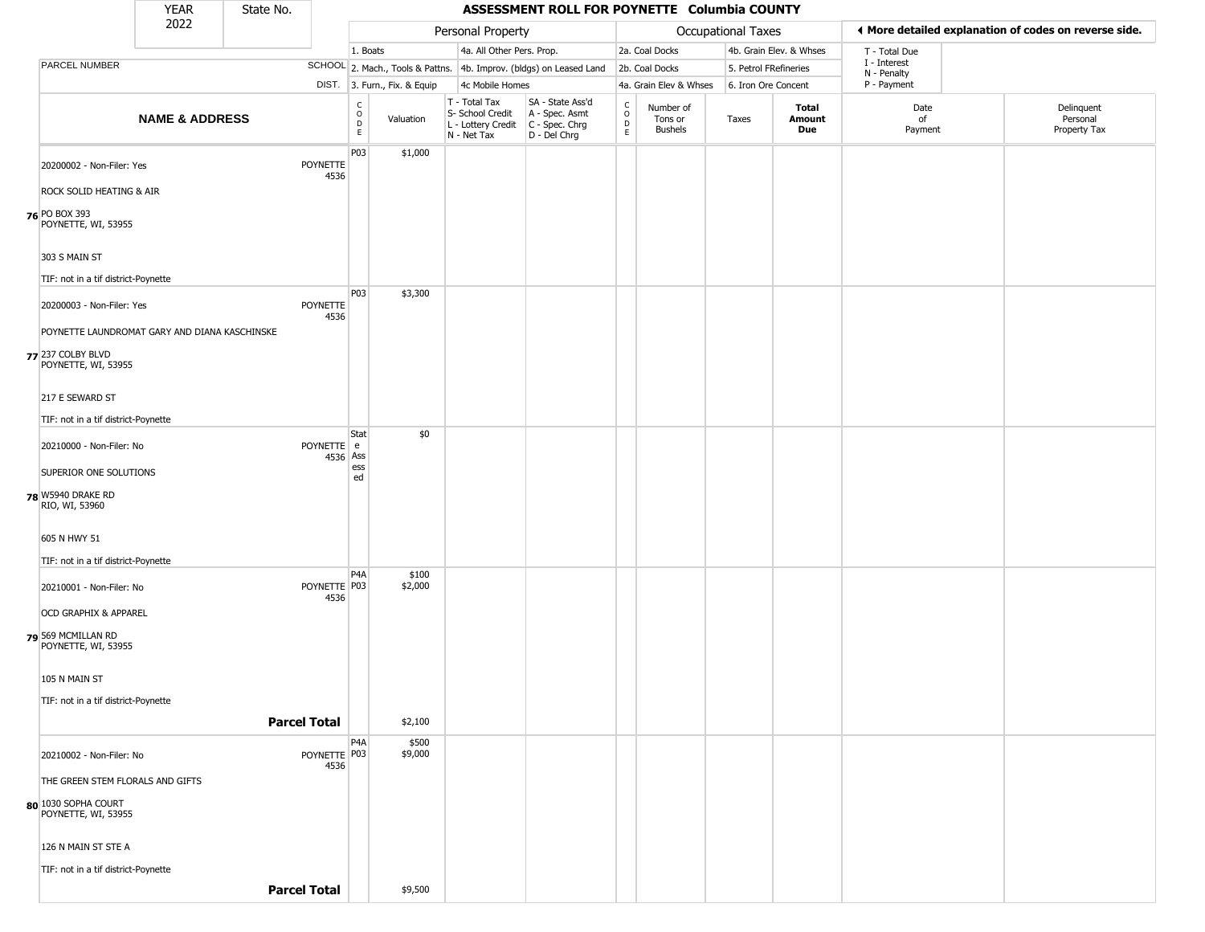|                                               | <b>YEAR</b>               | State No. |                      |                                |                              |  | ASSESSMENT ROLL FOR POYNETTE Columbia COUNTY     |                                                                                         |                                              |                                        |                       |                         |                                                       |  |                                        |
|-----------------------------------------------|---------------------------|-----------|----------------------|--------------------------------|------------------------------|--|--------------------------------------------------|-----------------------------------------------------------------------------------------|----------------------------------------------|----------------------------------------|-----------------------|-------------------------|-------------------------------------------------------|--|----------------------------------------|
|                                               | 2022                      |           |                      |                                |                              |  | Personal Property                                |                                                                                         |                                              |                                        | Occupational Taxes    |                         | ◀ More detailed explanation of codes on reverse side. |  |                                        |
|                                               |                           |           |                      | 1. Boats                       |                              |  | 4a. All Other Pers. Prop.                        |                                                                                         |                                              | 2a. Coal Docks                         |                       | 4b. Grain Elev. & Whses | T - Total Due                                         |  |                                        |
| <b>PARCEL NUMBER</b>                          |                           |           |                      |                                |                              |  |                                                  | SCHOOL 2. Mach., Tools & Pattns. 4b. Improv. (bldgs) on Leased Land                     |                                              | 2b. Coal Docks                         | 5. Petrol FRefineries |                         | I - Interest<br>N - Penalty                           |  |                                        |
|                                               |                           |           |                      |                                | DIST. 3. Furn., Fix. & Equip |  | 4c Mobile Homes                                  |                                                                                         |                                              | 4a. Grain Elev & Whses                 | 6. Iron Ore Concent   |                         | P - Payment                                           |  |                                        |
|                                               | <b>NAME &amp; ADDRESS</b> |           |                      | $\rm _o^C$<br>$\mathsf D$<br>E | Valuation                    |  | T - Total Tax<br>S- School Credit<br>N - Net Tax | SA - State Ass'd<br>A - Spec. Asmt<br>L - Lottery Credit C - Spec. Chrg<br>D - Del Chrg | $\frac{c}{0}$<br>$\mathsf{D}$<br>$\mathsf E$ | Number of<br>Tons or<br><b>Bushels</b> | Taxes                 | Total<br>Amount<br>Due  | Date<br>of<br>Payment                                 |  | Delinquent<br>Personal<br>Property Tax |
| 20200002 - Non-Filer: Yes                     |                           |           | POYNETTE<br>4536     | P03                            | \$1,000                      |  |                                                  |                                                                                         |                                              |                                        |                       |                         |                                                       |  |                                        |
| ROCK SOLID HEATING & AIR                      |                           |           |                      |                                |                              |  |                                                  |                                                                                         |                                              |                                        |                       |                         |                                                       |  |                                        |
| <b>76 PO BOX 393</b><br>POYNETTE, WI, 53955   |                           |           |                      |                                |                              |  |                                                  |                                                                                         |                                              |                                        |                       |                         |                                                       |  |                                        |
| 303 S MAIN ST                                 |                           |           |                      |                                |                              |  |                                                  |                                                                                         |                                              |                                        |                       |                         |                                                       |  |                                        |
| TIF: not in a tif district-Poynette           |                           |           |                      |                                |                              |  |                                                  |                                                                                         |                                              |                                        |                       |                         |                                                       |  |                                        |
| 20200003 - Non-Filer: Yes                     |                           |           | POYNETTE<br>4536     | P03                            | \$3,300                      |  |                                                  |                                                                                         |                                              |                                        |                       |                         |                                                       |  |                                        |
| POYNETTE LAUNDROMAT GARY AND DIANA KASCHINSKE |                           |           |                      |                                |                              |  |                                                  |                                                                                         |                                              |                                        |                       |                         |                                                       |  |                                        |
| 77 237 COLBY BLVD<br>POYNETTE, WI, 53955      |                           |           |                      |                                |                              |  |                                                  |                                                                                         |                                              |                                        |                       |                         |                                                       |  |                                        |
| 217 E SEWARD ST                               |                           |           |                      |                                |                              |  |                                                  |                                                                                         |                                              |                                        |                       |                         |                                                       |  |                                        |
| TIF: not in a tif district-Poynette           |                           |           |                      |                                |                              |  |                                                  |                                                                                         |                                              |                                        |                       |                         |                                                       |  |                                        |
| 20210000 - Non-Filer: No                      |                           |           | POYNETTE e           | Stat<br>4536 Ass               | \$0                          |  |                                                  |                                                                                         |                                              |                                        |                       |                         |                                                       |  |                                        |
| SUPERIOR ONE SOLUTIONS                        |                           |           |                      | ess<br>ed                      |                              |  |                                                  |                                                                                         |                                              |                                        |                       |                         |                                                       |  |                                        |
| 78 W5940 DRAKE RD<br>RIO, WI, 53960           |                           |           |                      |                                |                              |  |                                                  |                                                                                         |                                              |                                        |                       |                         |                                                       |  |                                        |
| 605 N HWY 51                                  |                           |           |                      |                                |                              |  |                                                  |                                                                                         |                                              |                                        |                       |                         |                                                       |  |                                        |
| TIF: not in a tif district-Poynette           |                           |           |                      |                                |                              |  |                                                  |                                                                                         |                                              |                                        |                       |                         |                                                       |  |                                        |
| 20210001 - Non-Filer: No                      |                           |           | POYNETTE P03<br>4536 | P <sub>4</sub> A               | \$100<br>\$2,000             |  |                                                  |                                                                                         |                                              |                                        |                       |                         |                                                       |  |                                        |
| <b>OCD GRAPHIX &amp; APPAREL</b>              |                           |           |                      |                                |                              |  |                                                  |                                                                                         |                                              |                                        |                       |                         |                                                       |  |                                        |
| 79 569 MCMILLAN RD<br>POYNETTE, WI, 53955     |                           |           |                      |                                |                              |  |                                                  |                                                                                         |                                              |                                        |                       |                         |                                                       |  |                                        |
| 105 N MAIN ST                                 |                           |           |                      |                                |                              |  |                                                  |                                                                                         |                                              |                                        |                       |                         |                                                       |  |                                        |
| TIF: not in a tif district-Poynette           |                           |           |                      |                                |                              |  |                                                  |                                                                                         |                                              |                                        |                       |                         |                                                       |  |                                        |
|                                               |                           |           | <b>Parcel Total</b>  |                                | \$2,100                      |  |                                                  |                                                                                         |                                              |                                        |                       |                         |                                                       |  |                                        |
|                                               |                           |           |                      | P <sub>4</sub> A               | \$500                        |  |                                                  |                                                                                         |                                              |                                        |                       |                         |                                                       |  |                                        |
| 20210002 - Non-Filer: No                      |                           |           | POYNETTE P03<br>4536 |                                | \$9,000                      |  |                                                  |                                                                                         |                                              |                                        |                       |                         |                                                       |  |                                        |
| THE GREEN STEM FLORALS AND GIFTS              |                           |           |                      |                                |                              |  |                                                  |                                                                                         |                                              |                                        |                       |                         |                                                       |  |                                        |
| 80 1030 SOPHA COURT<br>POYNETTE, WI, 53955    |                           |           |                      |                                |                              |  |                                                  |                                                                                         |                                              |                                        |                       |                         |                                                       |  |                                        |
| 126 N MAIN ST STE A                           |                           |           |                      |                                |                              |  |                                                  |                                                                                         |                                              |                                        |                       |                         |                                                       |  |                                        |
| TIF: not in a tif district-Poynette           |                           |           |                      |                                |                              |  |                                                  |                                                                                         |                                              |                                        |                       |                         |                                                       |  |                                        |
|                                               |                           |           | <b>Parcel Total</b>  |                                | \$9,500                      |  |                                                  |                                                                                         |                                              |                                        |                       |                         |                                                       |  |                                        |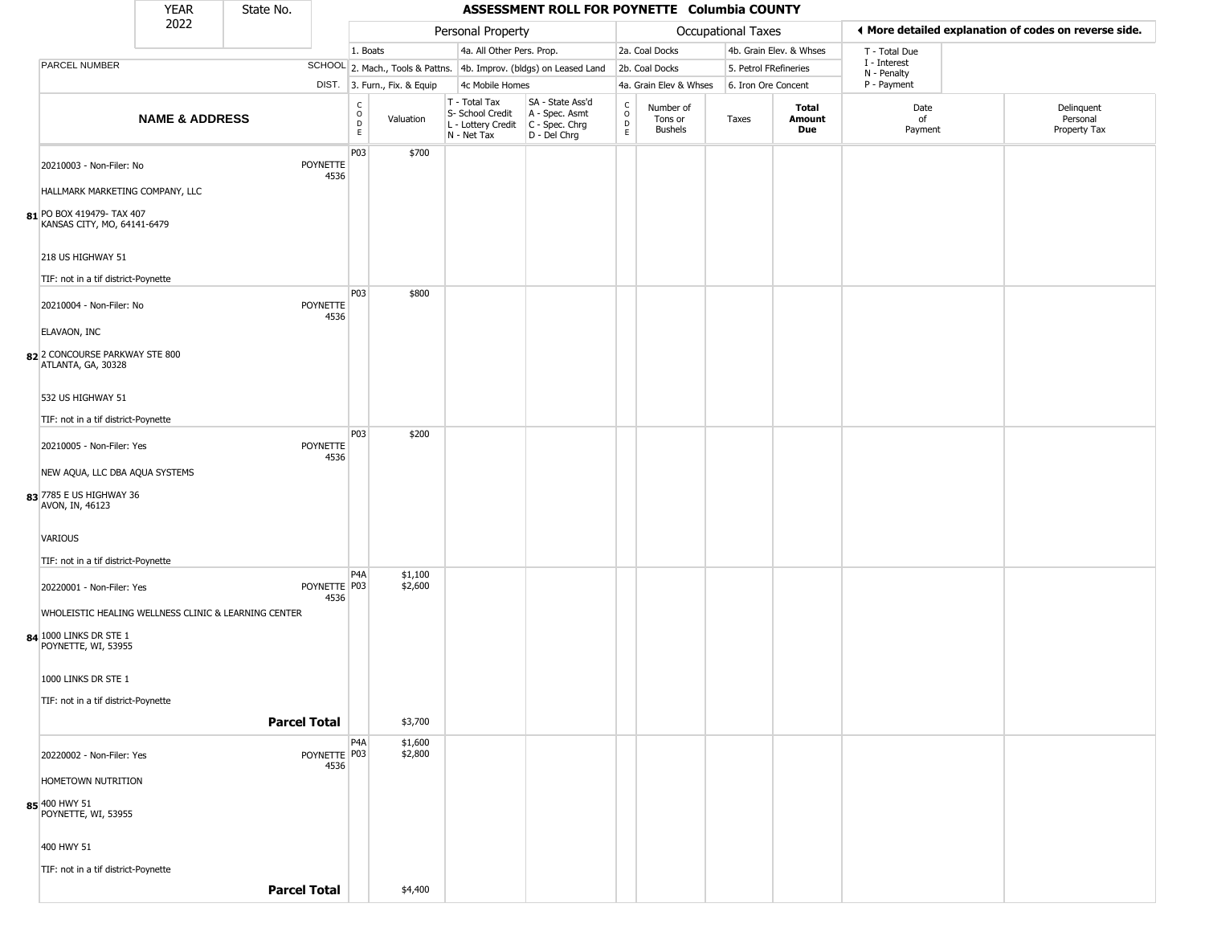|                                                          | <b>YEAR</b>               | State No. |                         |                                  |                              |                                                                                         | ASSESSMENT ROLL FOR POYNETTE Columbia COUNTY                        |                                                          |                                 |                       |                         |                             |                                                       |
|----------------------------------------------------------|---------------------------|-----------|-------------------------|----------------------------------|------------------------------|-----------------------------------------------------------------------------------------|---------------------------------------------------------------------|----------------------------------------------------------|---------------------------------|-----------------------|-------------------------|-----------------------------|-------------------------------------------------------|
|                                                          | 2022                      |           |                         |                                  |                              | Personal Property                                                                       |                                                                     |                                                          |                                 | Occupational Taxes    |                         |                             | ◀ More detailed explanation of codes on reverse side. |
|                                                          |                           |           |                         | 1. Boats                         |                              | 4a. All Other Pers. Prop.                                                               |                                                                     |                                                          | 2a. Coal Docks                  |                       | 4b. Grain Elev. & Whses | T - Total Due               |                                                       |
| <b>PARCEL NUMBER</b>                                     |                           |           |                         |                                  |                              |                                                                                         | SCHOOL 2. Mach., Tools & Pattns. 4b. Improv. (bldgs) on Leased Land |                                                          | 2b. Coal Docks                  | 5. Petrol FRefineries |                         | I - Interest<br>N - Penalty |                                                       |
|                                                          |                           |           |                         |                                  | DIST. 3. Furn., Fix. & Equip | 4c Mobile Homes                                                                         |                                                                     |                                                          | 4a. Grain Elev & Whses          | 6. Iron Ore Concent   |                         | P - Payment                 |                                                       |
|                                                          | <b>NAME &amp; ADDRESS</b> |           |                         | C<br>$\circ$<br>$\mathsf D$<br>E | Valuation                    | T - Total Tax<br>S- School Credit<br>L - Lottery Credit   C - Spec. Chrg<br>N - Net Tax | SA - State Ass'd<br>A - Spec. Asmt<br>D - Del Chrg                  | $\begin{matrix} 0 \\ 0 \\ D \end{matrix}$<br>$\mathsf E$ | Number of<br>Tons or<br>Bushels | Taxes                 | Total<br>Amount<br>Due  | Date<br>of<br>Payment       | Delinquent<br>Personal<br>Property Tax                |
| 20210003 - Non-Filer: No                                 |                           |           | POYNETTE<br>4536        | P03                              | \$700                        |                                                                                         |                                                                     |                                                          |                                 |                       |                         |                             |                                                       |
| HALLMARK MARKETING COMPANY, LLC                          |                           |           |                         |                                  |                              |                                                                                         |                                                                     |                                                          |                                 |                       |                         |                             |                                                       |
| 81 PO BOX 419479- TAX 407<br>KANSAS CITY, MO, 64141-6479 |                           |           |                         |                                  |                              |                                                                                         |                                                                     |                                                          |                                 |                       |                         |                             |                                                       |
| 218 US HIGHWAY 51                                        |                           |           |                         |                                  |                              |                                                                                         |                                                                     |                                                          |                                 |                       |                         |                             |                                                       |
| TIF: not in a tif district-Poynette                      |                           |           |                         |                                  |                              |                                                                                         |                                                                     |                                                          |                                 |                       |                         |                             |                                                       |
| 20210004 - Non-Filer: No                                 |                           |           | POYNETTE<br>4536        | P03                              | \$800                        |                                                                                         |                                                                     |                                                          |                                 |                       |                         |                             |                                                       |
| ELAVAON, INC                                             |                           |           |                         |                                  |                              |                                                                                         |                                                                     |                                                          |                                 |                       |                         |                             |                                                       |
| 82 2 CONCOURSE PARKWAY STE 800<br>ATLANTA, GA, 30328     |                           |           |                         |                                  |                              |                                                                                         |                                                                     |                                                          |                                 |                       |                         |                             |                                                       |
| 532 US HIGHWAY 51                                        |                           |           |                         |                                  |                              |                                                                                         |                                                                     |                                                          |                                 |                       |                         |                             |                                                       |
| TIF: not in a tif district-Poynette                      |                           |           |                         |                                  |                              |                                                                                         |                                                                     |                                                          |                                 |                       |                         |                             |                                                       |
| 20210005 - Non-Filer: Yes                                |                           |           | <b>POYNETTE</b><br>4536 | P03                              | \$200                        |                                                                                         |                                                                     |                                                          |                                 |                       |                         |                             |                                                       |
| NEW AQUA, LLC DBA AQUA SYSTEMS                           |                           |           |                         |                                  |                              |                                                                                         |                                                                     |                                                          |                                 |                       |                         |                             |                                                       |
| 83 7785 E US HIGHWAY 36<br>AVON, IN, 46123               |                           |           |                         |                                  |                              |                                                                                         |                                                                     |                                                          |                                 |                       |                         |                             |                                                       |
| <b>VARIOUS</b>                                           |                           |           |                         |                                  |                              |                                                                                         |                                                                     |                                                          |                                 |                       |                         |                             |                                                       |
| TIF: not in a tif district-Poynette                      |                           |           |                         |                                  |                              |                                                                                         |                                                                     |                                                          |                                 |                       |                         |                             |                                                       |
| 20220001 - Non-Filer: Yes                                |                           |           | POYNETTE P03<br>4536    | P <sub>4</sub> A                 | \$1,100<br>\$2,600           |                                                                                         |                                                                     |                                                          |                                 |                       |                         |                             |                                                       |
| WHOLEISTIC HEALING WELLNESS CLINIC & LEARNING CENTER     |                           |           |                         |                                  |                              |                                                                                         |                                                                     |                                                          |                                 |                       |                         |                             |                                                       |
| 84 1000 LINKS DR STE 1<br>POYNETTE, WI, 53955            |                           |           |                         |                                  |                              |                                                                                         |                                                                     |                                                          |                                 |                       |                         |                             |                                                       |
| 1000 LINKS DR STE 1                                      |                           |           |                         |                                  |                              |                                                                                         |                                                                     |                                                          |                                 |                       |                         |                             |                                                       |
| TIF: not in a tif district-Poynette                      |                           |           |                         |                                  |                              |                                                                                         |                                                                     |                                                          |                                 |                       |                         |                             |                                                       |
|                                                          |                           |           | <b>Parcel Total</b>     |                                  | \$3,700                      |                                                                                         |                                                                     |                                                          |                                 |                       |                         |                             |                                                       |
| 20220002 - Non-Filer: Yes                                |                           |           | POYNETTE P03            | P4A                              | \$1,600<br>\$2,800           |                                                                                         |                                                                     |                                                          |                                 |                       |                         |                             |                                                       |
| HOMETOWN NUTRITION                                       |                           |           | 4536                    |                                  |                              |                                                                                         |                                                                     |                                                          |                                 |                       |                         |                             |                                                       |
| 85 400 HWY 51<br>POYNETTE, WI, 53955                     |                           |           |                         |                                  |                              |                                                                                         |                                                                     |                                                          |                                 |                       |                         |                             |                                                       |
| 400 HWY 51                                               |                           |           |                         |                                  |                              |                                                                                         |                                                                     |                                                          |                                 |                       |                         |                             |                                                       |
| TIF: not in a tif district-Poynette                      |                           |           |                         |                                  |                              |                                                                                         |                                                                     |                                                          |                                 |                       |                         |                             |                                                       |
|                                                          |                           |           | <b>Parcel Total</b>     |                                  | \$4,400                      |                                                                                         |                                                                     |                                                          |                                 |                       |                         |                             |                                                       |
|                                                          |                           |           |                         |                                  |                              |                                                                                         |                                                                     |                                                          |                                 |                       |                         |                             |                                                       |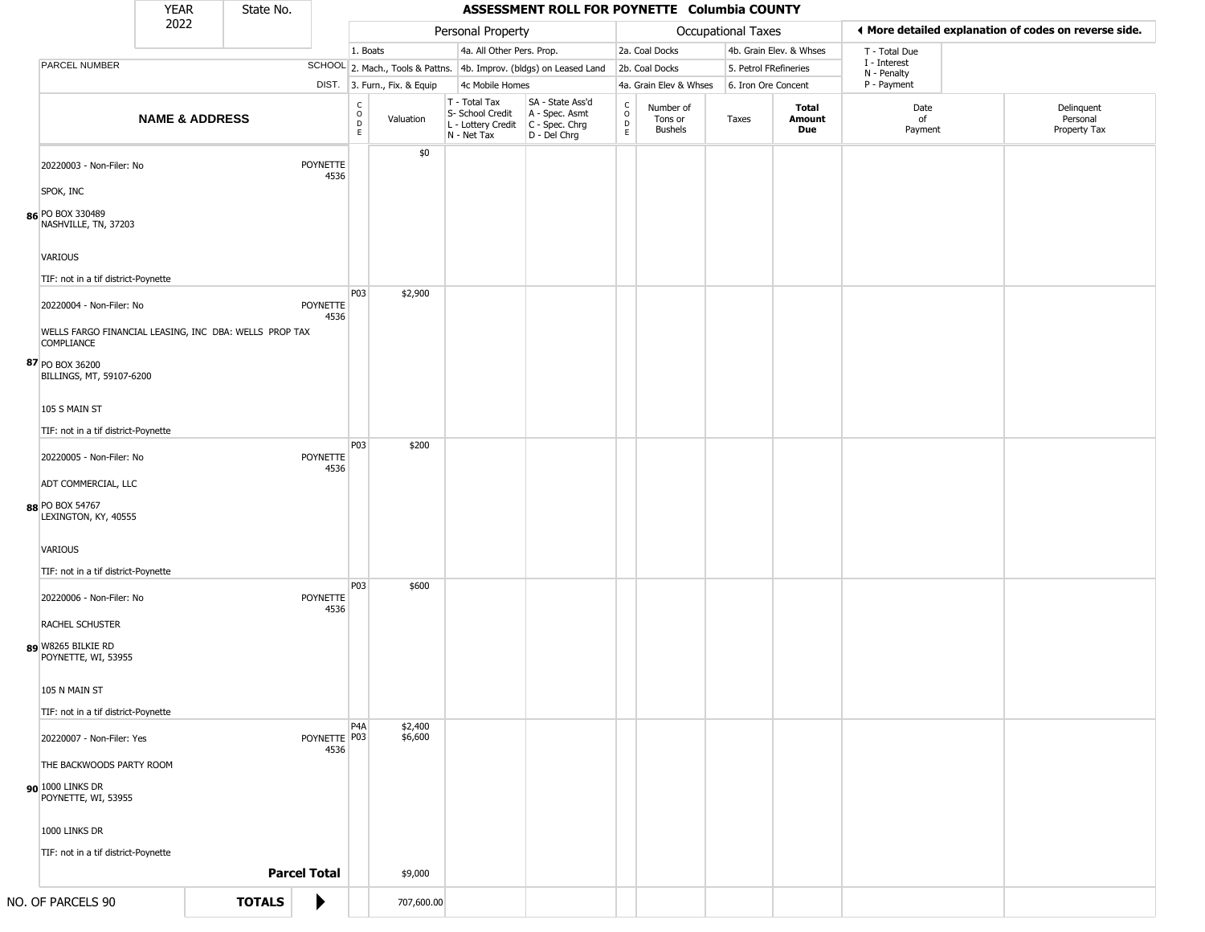|                                                                                                | <b>YEAR</b>               | State No. |                         |                                                | ASSESSMENT ROLL FOR POYNETTE Columbia COUNTY |                                                                                                    |                                                                     |                                                 |                                 |                       |                         |                             |  |                                                       |
|------------------------------------------------------------------------------------------------|---------------------------|-----------|-------------------------|------------------------------------------------|----------------------------------------------|----------------------------------------------------------------------------------------------------|---------------------------------------------------------------------|-------------------------------------------------|---------------------------------|-----------------------|-------------------------|-----------------------------|--|-------------------------------------------------------|
|                                                                                                | 2022                      |           |                         |                                                |                                              | Personal Property                                                                                  |                                                                     |                                                 |                                 | Occupational Taxes    |                         |                             |  | ◀ More detailed explanation of codes on reverse side. |
|                                                                                                |                           |           |                         | 1. Boats                                       |                                              | 4a. All Other Pers. Prop.                                                                          |                                                                     |                                                 | 2a. Coal Docks                  |                       | 4b. Grain Elev. & Whses | T - Total Due               |  |                                                       |
| PARCEL NUMBER                                                                                  |                           |           |                         |                                                |                                              |                                                                                                    | SCHOOL 2. Mach., Tools & Pattns. 4b. Improv. (bldgs) on Leased Land |                                                 | 2b. Coal Docks                  | 5. Petrol FRefineries |                         | I - Interest<br>N - Penalty |  |                                                       |
|                                                                                                |                           |           |                         |                                                | DIST. 3. Furn., Fix. & Equip                 | 4c Mobile Homes                                                                                    |                                                                     |                                                 | 4a. Grain Elev & Whses          | 6. Iron Ore Concent   |                         | P - Payment                 |  |                                                       |
|                                                                                                | <b>NAME &amp; ADDRESS</b> |           |                         | $\begin{matrix} 0 \\ 0 \\ D \end{matrix}$<br>E | Valuation                                    | T - Total Tax<br>S- School Credit<br>L - Lottery Credit C - Spec. Chrg<br>N - Net Tax D - Del Chrg | SA - State Ass'd<br>A - Spec. Asmt                                  | $\begin{array}{c} C \\ O \\ D \\ E \end{array}$ | Number of<br>Tons or<br>Bushels | Taxes                 | Total<br>Amount<br>Due  | Date<br>of<br>Payment       |  | Delinquent<br>Personal<br>Property Tax                |
| 20220003 - Non-Filer: No                                                                       |                           |           | <b>POYNETTE</b><br>4536 |                                                | \$0                                          |                                                                                                    |                                                                     |                                                 |                                 |                       |                         |                             |  |                                                       |
| SPOK, INC                                                                                      |                           |           |                         |                                                |                                              |                                                                                                    |                                                                     |                                                 |                                 |                       |                         |                             |  |                                                       |
| 86 PO BOX 330489<br>NASHVILLE, TN, 37203                                                       |                           |           |                         |                                                |                                              |                                                                                                    |                                                                     |                                                 |                                 |                       |                         |                             |  |                                                       |
| VARIOUS                                                                                        |                           |           |                         |                                                |                                              |                                                                                                    |                                                                     |                                                 |                                 |                       |                         |                             |  |                                                       |
| TIF: not in a tif district-Poynette                                                            |                           |           |                         |                                                |                                              |                                                                                                    |                                                                     |                                                 |                                 |                       |                         |                             |  |                                                       |
| 20220004 - Non-Filer: No                                                                       |                           |           | POYNETTE<br>4536        | P03                                            | \$2,900                                      |                                                                                                    |                                                                     |                                                 |                                 |                       |                         |                             |  |                                                       |
| WELLS FARGO FINANCIAL LEASING, INC DBA: WELLS PROP TAX<br><b>COMPLIANCE</b><br>87 PO BOX 36200 |                           |           |                         |                                                |                                              |                                                                                                    |                                                                     |                                                 |                                 |                       |                         |                             |  |                                                       |
| BILLINGS, MT, 59107-6200                                                                       |                           |           |                         |                                                |                                              |                                                                                                    |                                                                     |                                                 |                                 |                       |                         |                             |  |                                                       |
| 105 S MAIN ST                                                                                  |                           |           |                         |                                                |                                              |                                                                                                    |                                                                     |                                                 |                                 |                       |                         |                             |  |                                                       |
| TIF: not in a tif district-Poynette                                                            |                           |           |                         | P03                                            | \$200                                        |                                                                                                    |                                                                     |                                                 |                                 |                       |                         |                             |  |                                                       |
| 20220005 - Non-Filer: No<br>ADT COMMERCIAL, LLC                                                |                           |           | <b>POYNETTE</b><br>4536 |                                                |                                              |                                                                                                    |                                                                     |                                                 |                                 |                       |                         |                             |  |                                                       |
|                                                                                                |                           |           |                         |                                                |                                              |                                                                                                    |                                                                     |                                                 |                                 |                       |                         |                             |  |                                                       |
| 88 PO BOX 54767<br>LEXINGTON, KY, 40555                                                        |                           |           |                         |                                                |                                              |                                                                                                    |                                                                     |                                                 |                                 |                       |                         |                             |  |                                                       |
| VARIOUS                                                                                        |                           |           |                         |                                                |                                              |                                                                                                    |                                                                     |                                                 |                                 |                       |                         |                             |  |                                                       |
| TIF: not in a tif district-Poynette                                                            |                           |           |                         |                                                |                                              |                                                                                                    |                                                                     |                                                 |                                 |                       |                         |                             |  |                                                       |
| 20220006 - Non-Filer: No                                                                       |                           |           | POYNETTE<br>4536        | P03                                            | \$600                                        |                                                                                                    |                                                                     |                                                 |                                 |                       |                         |                             |  |                                                       |
| RACHEL SCHUSTER                                                                                |                           |           |                         |                                                |                                              |                                                                                                    |                                                                     |                                                 |                                 |                       |                         |                             |  |                                                       |
| 89 W8265 BILKIE RD<br>POYNETTE, WI, 53955                                                      |                           |           |                         |                                                |                                              |                                                                                                    |                                                                     |                                                 |                                 |                       |                         |                             |  |                                                       |
| 105 N MAIN ST                                                                                  |                           |           |                         |                                                |                                              |                                                                                                    |                                                                     |                                                 |                                 |                       |                         |                             |  |                                                       |
| TIF: not in a tif district-Poynette                                                            |                           |           |                         |                                                |                                              |                                                                                                    |                                                                     |                                                 |                                 |                       |                         |                             |  |                                                       |
| 20220007 - Non-Filer: Yes                                                                      |                           |           | POYNETTE P03<br>4536    | P <sub>4</sub> A                               | \$2,400<br>\$6,600                           |                                                                                                    |                                                                     |                                                 |                                 |                       |                         |                             |  |                                                       |
| THE BACKWOODS PARTY ROOM                                                                       |                           |           |                         |                                                |                                              |                                                                                                    |                                                                     |                                                 |                                 |                       |                         |                             |  |                                                       |
| 90 1000 LINKS DR<br>POYNETTE, WI, 53955                                                        |                           |           |                         |                                                |                                              |                                                                                                    |                                                                     |                                                 |                                 |                       |                         |                             |  |                                                       |
| 1000 LINKS DR                                                                                  |                           |           |                         |                                                |                                              |                                                                                                    |                                                                     |                                                 |                                 |                       |                         |                             |  |                                                       |
| TIF: not in a tif district-Poynette                                                            |                           |           |                         |                                                |                                              |                                                                                                    |                                                                     |                                                 |                                 |                       |                         |                             |  |                                                       |
|                                                                                                |                           |           | <b>Parcel Total</b>     |                                                | \$9,000                                      |                                                                                                    |                                                                     |                                                 |                                 |                       |                         |                             |  |                                                       |

**NO. OF PARCELS 90 TOTALS**  $\bullet$  707,600.00